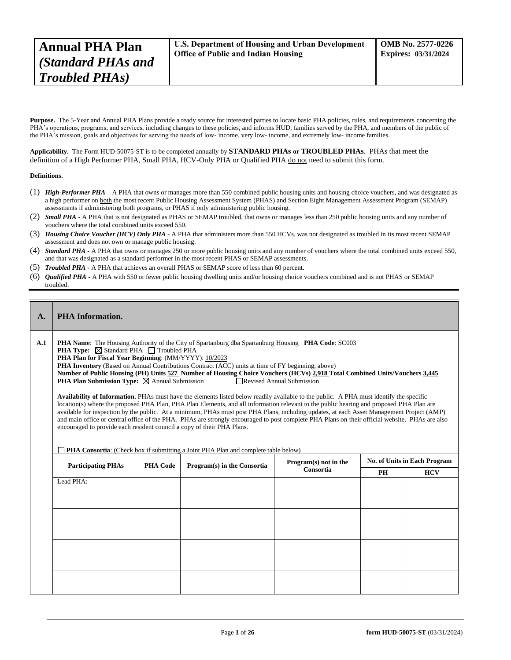Purpose. The 5-Year and Annual PHA Plans provide a ready source for interested parties to locate basic PHA policies, rules, and requirements concerning the PHA's operations, programs, and services, including changes to these policies, and informs HUD, families served by the PHA, and members of the public of the PHA's mission, goals and objectives for serving the needs of low- income, very low- income, and extremely low- income families.

**Applicability.** The Form HUD-50075-ST is to be completed annually by **STANDARD PHAs or TROUBLED PHAs**. PHAs that meet the definition of a High Performer PHA, Small PHA, HCV-Only PHA or Qualified PHA do not need to submit this form.

## **Definitions.**

- (1) *High-Performer PHA* A PHA that owns or manages more than 550 combined public housing units and housing choice vouchers, and was designated as a high performer on both the most recent Public Housing Assessment System (PHAS) and Section Eight Management Assessment Program (SEMAP) assessments if administering both programs, or PHAS if only administering public housing.
- (2) *Small PHA* A PHA that is not designated as PHAS or SEMAP troubled, that owns or manages less than 250 public housing units and any number of vouchers where the total combined units exceed 550.
- (3) *Housing Choice Voucher (HCV) Only PHA* A PHA that administers more than 550 HCVs, was not designated as troubled in its most recent SEMAP assessment and does not own or manage public housing.
- (4) *Standard PHA* A PHA that owns or manages 250 or more public housing units and any number of vouchers where the total combined units exceed 550, and that was designated as a standard performer in the most recent PHAS or SEMAP assessments.
- (5) *Troubled PHA* **-** A PHA that achieves an overall PHAS or SEMAP score of less than 60 percent.
- (6) *Qualified PHA* A PHA with 550 or fewer public housing dwelling units and/or housing choice vouchers combined and is not PHAS or SEMAP troubled.

# **A. PHA Information.**

- **A.1 PHA Name**: The Housing Authority of the City of Spartanburg dba Spartanburg Housing **PHA Code**: SC003
	- **PHA Type:** ⊠ Standard PHA  $\Box$  Troubled PHA
		- **PHA Plan for Fiscal Year Beginning**: (MM/YYYY): 10/2023
		- **PHA Inventory** (Based on Annual Contributions Contract (ACC) units at time of FY beginning, above)
		- **Number of Public Housing (PH) Units 527 Number of Housing Choice Vouchers (HCVs) 2,918 Total Combined Units/Vouchers 3,445 PHA Plan Submission Type:**  $\boxtimes$  Annual Submission

**Availability of Information.** PHAs must have the elements listed below readily available to the public. A PHA must identify the specific location(s) where the proposed PHA Plan, PHA Plan Elements, and all information relevant to the public hearing and proposed PHA Plan are available for inspection by the public. At a minimum, PHAs must post PHA Plans, including updates, at each Asset Management Project (AMP) and main office or central office of the PHA. PHAs are strongly encouraged to post complete PHA Plans on their official website. PHAs are also encouraged to provide each resident council a copy of their PHA Plans.

**PHA Consortia**: (Check box if submitting a Joint PHA Plan and complete table below)

| <b>Participating PHAs</b> | <b>PHA Code</b> | Program(s) in the Consortia | Program(s) not in the | No. of Units in Each Program |            |  |
|---------------------------|-----------------|-----------------------------|-----------------------|------------------------------|------------|--|
|                           |                 |                             | Consortia             | PH                           | <b>HCV</b> |  |
| Lead PHA:                 |                 |                             |                       |                              |            |  |
|                           |                 |                             |                       |                              |            |  |
|                           |                 |                             |                       |                              |            |  |
|                           |                 |                             |                       |                              |            |  |
|                           |                 |                             |                       |                              |            |  |
|                           |                 |                             |                       |                              |            |  |
|                           |                 |                             |                       |                              |            |  |
|                           |                 |                             |                       |                              |            |  |
|                           |                 |                             |                       |                              |            |  |
|                           |                 |                             |                       |                              |            |  |
|                           |                 |                             |                       |                              |            |  |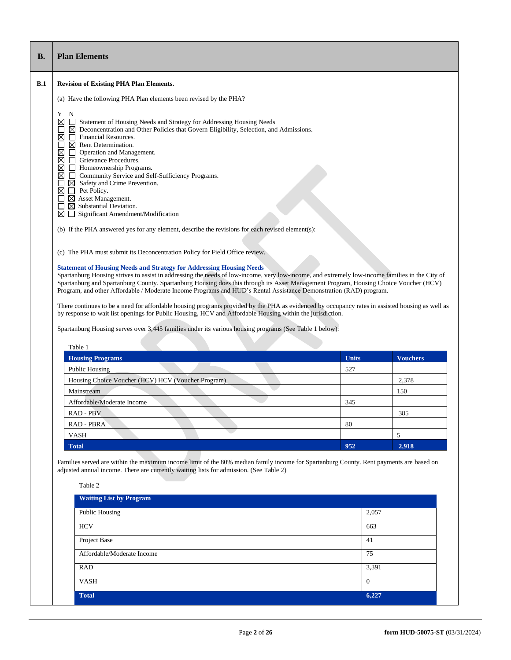| Y<br>⊠<br>$\Box$<br>⊠<br>□<br>⊠<br>⊠<br>⊠   | <b>Revision of Existing PHA Plan Elements.</b>                                                                                                                                                                                                                                                                                                                                                                                                                                                                                                                                                                                                                                                                                                                                                                                                                                                     |  |              |                 |  |  |  |  |
|---------------------------------------------|----------------------------------------------------------------------------------------------------------------------------------------------------------------------------------------------------------------------------------------------------------------------------------------------------------------------------------------------------------------------------------------------------------------------------------------------------------------------------------------------------------------------------------------------------------------------------------------------------------------------------------------------------------------------------------------------------------------------------------------------------------------------------------------------------------------------------------------------------------------------------------------------------|--|--------------|-----------------|--|--|--|--|
|                                             |                                                                                                                                                                                                                                                                                                                                                                                                                                                                                                                                                                                                                                                                                                                                                                                                                                                                                                    |  |              |                 |  |  |  |  |
|                                             | (a) Have the following PHA Plan elements been revised by the PHA?                                                                                                                                                                                                                                                                                                                                                                                                                                                                                                                                                                                                                                                                                                                                                                                                                                  |  |              |                 |  |  |  |  |
| $\overline{\mathbb{Z}}$<br>⊠<br>$\Box$<br>П | $\mathbf N$<br>$\Box$<br>Statement of Housing Needs and Strategy for Addressing Housing Needs<br>$\boxtimes$ Deconcentration and Other Policies that Govern Eligibility, Selection, and Admissions.<br>Financial Resources.<br>$\boxtimes$ Rent Determination.<br>Operation and Management.<br>$\Box$<br>Grievance Procedures.<br>Homeownership Programs.<br>Community Service and Self-Sufficiency Programs.<br>$\Box$<br>$\boxtimes$<br>Safety and Crime Prevention.<br>Pet Policy.<br>$\Box$<br>$\boxtimes$ Asset Management.<br>$\boxtimes$ Substantial Deviation.<br>$\boxtimes \square$ Significant Amendment/Modification<br>(b) If the PHA answered yes for any element, describe the revisions for each revised element(s):<br>(c) The PHA must submit its Deconcentration Policy for Field Office review.<br><b>Statement of Housing Needs and Strategy for Addressing Housing Needs</b> |  |              |                 |  |  |  |  |
|                                             | Spartanburg Housing strives to assist in addressing the needs of low-income, very low-income, and extremely low-income families in the City of<br>Spartanburg and Spartanburg County. Spartanburg Housing does this through its Asset Management Program, Housing Choice Voucher (HCV)<br>Program, and other Affordable / Moderate Income Programs and HUD's Rental Assistance Demonstration (RAD) program.                                                                                                                                                                                                                                                                                                                                                                                                                                                                                        |  |              |                 |  |  |  |  |
|                                             | There continues to be a need for affordable housing programs provided by the PHA as evidenced by occupancy rates in assisted housing as well as<br>by response to wait list openings for Public Housing, HCV and Affordable Housing within the jurisdiction.<br>Spartanburg Housing serves over 3,445 families under its various housing programs (See Table 1 below):                                                                                                                                                                                                                                                                                                                                                                                                                                                                                                                             |  |              |                 |  |  |  |  |
|                                             | Table 1                                                                                                                                                                                                                                                                                                                                                                                                                                                                                                                                                                                                                                                                                                                                                                                                                                                                                            |  |              |                 |  |  |  |  |
|                                             | <b>Housing Programs</b>                                                                                                                                                                                                                                                                                                                                                                                                                                                                                                                                                                                                                                                                                                                                                                                                                                                                            |  | <b>Units</b> | <b>Vouchers</b> |  |  |  |  |
|                                             | <b>Public Housing</b>                                                                                                                                                                                                                                                                                                                                                                                                                                                                                                                                                                                                                                                                                                                                                                                                                                                                              |  | 527          |                 |  |  |  |  |
|                                             | Housing Choice Voucher (HCV) HCV (Voucher Program)                                                                                                                                                                                                                                                                                                                                                                                                                                                                                                                                                                                                                                                                                                                                                                                                                                                 |  |              | 2,378           |  |  |  |  |
|                                             | Mainstream                                                                                                                                                                                                                                                                                                                                                                                                                                                                                                                                                                                                                                                                                                                                                                                                                                                                                         |  |              | 150             |  |  |  |  |
|                                             | Affordable/Moderate Income                                                                                                                                                                                                                                                                                                                                                                                                                                                                                                                                                                                                                                                                                                                                                                                                                                                                         |  | 345          |                 |  |  |  |  |
|                                             | RAD - PBV                                                                                                                                                                                                                                                                                                                                                                                                                                                                                                                                                                                                                                                                                                                                                                                                                                                                                          |  |              | 385             |  |  |  |  |
|                                             | RAD - PBRA                                                                                                                                                                                                                                                                                                                                                                                                                                                                                                                                                                                                                                                                                                                                                                                                                                                                                         |  | 80           |                 |  |  |  |  |
|                                             | <b>VASH</b>                                                                                                                                                                                                                                                                                                                                                                                                                                                                                                                                                                                                                                                                                                                                                                                                                                                                                        |  |              | 5               |  |  |  |  |

RAD  $3,391$ VASH 0 **Total 6,227**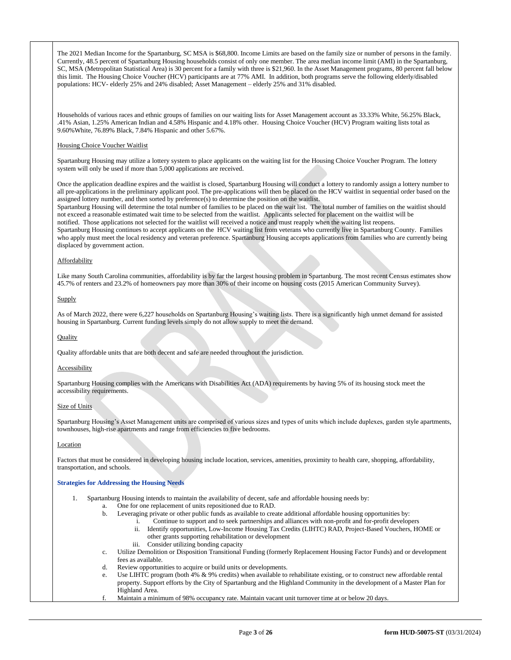The 2021 Median Income for the Spartanburg, SC MSA is \$68,800. Income Limits are based on the family size or number of persons in the family. Currently, 48.5 percent of Spartanburg Housing households consist of only one member. The area median income limit (AMI) in the Spartanburg, SC, MSA (Metropolitan Statistical Area) is 30 percent for a family with three is \$21,960. In the Asset Management programs, 80 percent fall below this limit. The Housing Choice Voucher (HCV) participants are at 77% AMI. In addition, both programs serve the following elderly/disabled populations: HCV- elderly 25% and 24% disabled; Asset Management – elderly 25% and 31% disabled.

Households of various races and ethnic groups of families on our waiting lists for Asset Management account as 33.33% White, 56.25% Black, .41% Asian, 1.25% American Indian and 4.58% Hispanic and 4.18% other. Housing Choice Voucher (HCV) Program waiting lists total as 9.60%White, 76.89% Black, 7.84% Hispanic and other 5.67%.

### Housing Choice Voucher Waitlist

Spartanburg Housing may utilize a lottery system to place applicants on the waiting list for the Housing Choice Voucher Program. The lottery system will only be used if more than 5,000 applications are received.

Once the application deadline expires and the waitlist is closed, Spartanburg Housing will conduct a lottery to randomly assign a lottery number to all pre-applications in the preliminary applicant pool. The pre-applications will then be placed on the HCV waitlist in sequential order based on the assigned lottery number, and then sorted by preference(s) to determine the position on the waitlist.

Spartanburg Housing will determine the total number of families to be placed on the wait list. The total number of families on the waitlist should not exceed a reasonable estimated wait time to be selected from the waitlist. Applicants selected for placement on the waitlist will be notified. Those applications not selected for the waitlist will received a notice and must reapply when the waiting list reopens.

Spartanburg Housing continues to accept applicants on the HCV waiting list from veterans who currently live in Spartanburg County. Families who apply must meet the local residency and veteran preference. Spartanburg Housing accepts applications from families who are currently being displaced by government action.

# **Affordability**

Like many South Carolina communities, affordability is by far the largest housing problem in Spartanburg. The most recent Census estimates show 45.7% of renters and 23.2% of homeowners pay more than 30% of their income on housing costs (2015 American Community Survey).

# **Supply**

As of March 2022, there were 6,227 households on Spartanburg Housing's waiting lists. There is a significantly high unmet demand for assisted housing in Spartanburg. Current funding levels simply do not allow supply to meet the demand.

#### **Quality**

Quality affordable units that are both decent and safe are needed throughout the jurisdiction.

# **Accessibility**

Spartanburg Housing complies with the Americans with Disabilities Act (ADA) requirements by having 5% of its housing stock meet the accessibility requirements.

# Size of Units

Spartanburg Housing's Asset Management units are comprised of various sizes and types of units which include duplexes, garden style apartments, townhouses, high-rise apartments and range from efficiencies to five bedrooms.

## Location

Factors that must be considered in developing housing include location, services, amenities, proximity to health care, shopping, affordability, transportation, and schools.

# **Strategies for Addressing the Housing Needs**

1. Spartanburg Housing intends to maintain the availability of decent, safe and affordable housing needs by:

- a. One for one replacement of units repositioned due to RAD.
- b. Leveraging private or other public funds as available to create additional affordable housing opportunities by:
	- i. Continue to support and to seek partnerships and alliances with non-profit and for-profit developers
	- ii. Identify opportunities, Low-Income Housing Tax Credits (LIHTC) RAD, Project-Based Vouchers, HOME or other grants supporting rehabilitation or development
	- iii. Consider utilizing bonding capacity
- c. Utilize Demolition or Disposition Transitional Funding (formerly Replacement Housing Factor Funds) and or development fees as available.
- d. Review opportunities to acquire or build units or developments.
- e. Use LIHTC program (both 4%  $\&$  9% credits) when available to rehabilitate existing, or to construct new affordable rental property. Support efforts by the City of Spartanburg and the Highland Community in the development of a Master Plan for Highland Area.
- f. Maintain a minimum of 98% occupancy rate. Maintain vacant unit turnover time at or below 20 days.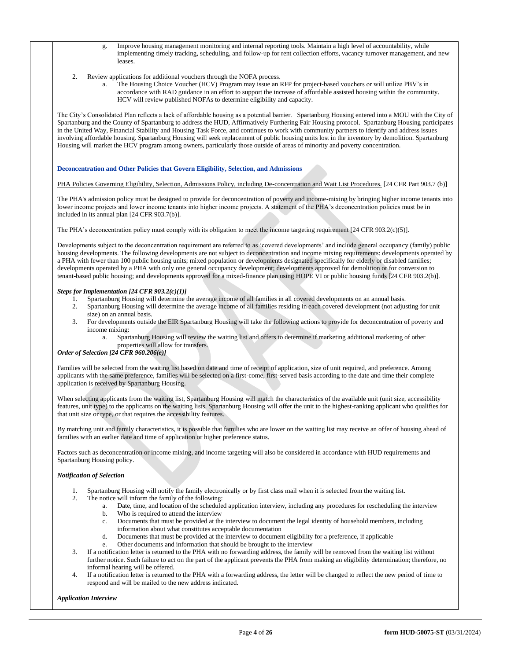- g. Improve housing management monitoring and internal reporting tools. Maintain a high level of accountability, while implementing timely tracking, scheduling, and follow-up for rent collection efforts, vacancy turnover management, and new leases.
- 2. Review applications for additional vouchers through the NOFA process.
	- a. The Housing Choice Voucher (HCV) Program may issue an RFP for project-based vouchers or will utilize PBV's in accordance with RAD guidance in an effort to support the increase of affordable assisted housing within the community. HCV will review published NOFAs to determine eligibility and capacity.

The City's Consolidated Plan reflects a lack of affordable housing as a potential barrier. Spartanburg Housing entered into a MOU with the City of Spartanburg and the County of Spartanburg to address the HUD, Affirmatively Furthering Fair Housing protocol. Spartanburg Housing participates in the United Way, Financial Stability and Housing Task Force, and continues to work with community partners to identify and address issues involving affordable housing. Spartanburg Housing will seek replacement of public housing units lost in the inventory by demolition. Spartanburg Housing will market the HCV program among owners, particularly those outside of areas of minority and poverty concentration.

# **Deconcentration and Other Policies that Govern Eligibility, Selection, and Admissions**

# PHA Policies Governing Eligibility, Selection, Admissions Policy, including De-concentration and Wait List Procedures. [24 CFR Part 903.7 (b)]

The PHA's admission policy must be designed to provide for deconcentration of poverty and income-mixing by bringing higher income tenants into lower income projects and lower income tenants into higher income projects. A statement of the PHA's deconcentration policies must be in included in its annual plan [24 CFR 903.7(b)].

The PHA's deconcentration policy must comply with its obligation to meet the income targeting requirement [24 CFR 903.2(c)(5)].

Developments subject to the deconcentration requirement are referred to as 'covered developments' and include general occupancy (family) public housing developments. The following developments are not subject to deconcentration and income mixing requirements: developments operated by a PHA with fewer than 100 public housing units; mixed population or developments designated specifically for elderly or disabled families; developments operated by a PHA with only one general occupancy development; developments approved for demolition or for conversion to tenant-based public housing; and developments approved for a mixed-finance plan using HOPE VI or public housing funds [24 CFR 903.2(b)].

# *Steps for Implementation [24 CFR 903.2(c)(1)]*

- 1. Spartanburg Housing will determine the average income of all families in all covered developments on an annual basis.
- 2. Spartanburg Housing will determine the average income of all families residing in each covered development (not adjusting for unit size) on an annual basis.
- 3. For developments outside the EIR Spartanburg Housing will take the following actions to provide for deconcentration of poverty and income mixing:
	- a. Spartanburg Housing will review the waiting list and offers to determine if marketing additional marketing of other properties will allow for transfers.

# *Order of Selection [24 CFR 960.206(e)]*

Families will be selected from the waiting list based on date and time of receipt of application, size of unit required, and preference. Among applicants with the same preference, families will be selected on a first-come, first-served basis according to the date and time their complete application is received by Spartanburg Housing.

When selecting applicants from the waiting list, Spartanburg Housing will match the characteristics of the available unit (unit size, accessibility features, unit type) to the applicants on the waiting lists. Spartanburg Housing will offer the unit to the highest-ranking applicant who qualifies for that unit size or type, or that requires the accessibility features.

By matching unit and family characteristics, it is possible that families who are lower on the waiting list may receive an offer of housing ahead of families with an earlier date and time of application or higher preference status.

Factors such as deconcentration or income mixing, and income targeting will also be considered in accordance with HUD requirements and Spartanburg Housing policy.

# *Notification of Selection*

- 1. Spartanburg Housing will notify the family electronically or by first class mail when it is selected from the waiting list.
- 2. The notice will inform the family of the following:
	- a. Date, time, and location of the scheduled application interview, including any procedures for rescheduling the interview
	- b. Who is required to attend the interview
	- c. Documents that must be provided at the interview to document the legal identity of household members, including
	- information about what constitutes acceptable documentation
	- d. Documents that must be provided at the interview to document eligibility for a preference, if applicable
	- Other documents and information that should be brought to the interview
- If a notification letter is returned to the PHA with no forwarding address, the family will be removed from the waiting list without further notice. Such failure to act on the part of the applicant prevents the PHA from making an eligibility determination; therefore, no informal hearing will be offered.
- If a notification letter is returned to the PHA with a forwarding address, the letter will be changed to reflect the new period of time to respond and will be mailed to the new address indicated.

# *Application Interview*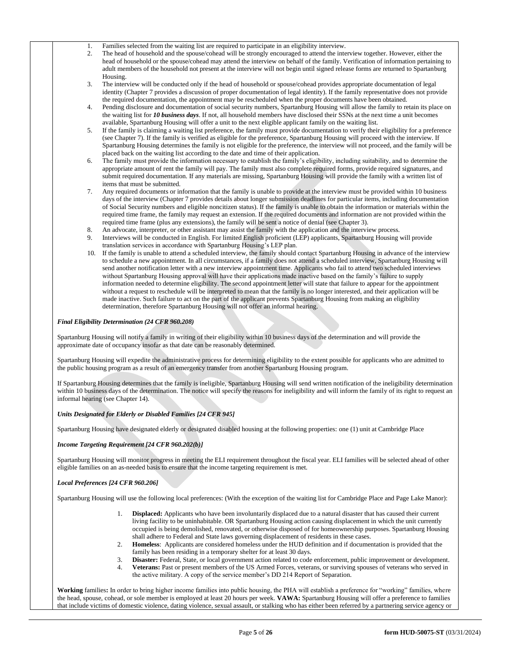1. Families selected from the waiting list are required to participate in an eligibility interview.<br>
The head of household and the spouse/cohead will be strongly encouraged to attend the inte

- 2. The head of household and the spouse/cohead will be strongly encouraged to attend the interview together. However, either the head of household or the spouse/cohead may attend the interview on behalf of the family. Verification of information pertaining to adult members of the household not present at the interview will not begin until signed release forms are returned to Spartanburg Housing.
- 3. The interview will be conducted only if the head of household or spouse/cohead provides appropriate documentation of legal identity (Chapter 7 provides a discussion of proper documentation of legal identity). If the family representative does not provide the required documentation, the appointment may be rescheduled when the proper documents have been obtained.
- 4. Pending disclosure and documentation of social security numbers, Spartanburg Housing will allow the family to retain its place on the waiting list for *10 business days*. If not, all household members have disclosed their SSNs at the next time a unit becomes available, Spartanburg Housing will offer a unit to the next eligible applicant family on the waiting list.
- 5. If the family is claiming a waiting list preference, the family must provide documentation to verify their eligibility for a preference (see Chapter 7). If the family is verified as eligible for the preference, Spartanburg Housing will proceed with the interview. If Spartanburg Housing determines the family is not eligible for the preference, the interview will not proceed, and the family will be placed back on the waiting list according to the date and time of their application.
- The family must provide the information necessary to establish the family's eligibility, including suitability, and to determine the appropriate amount of rent the family will pay. The family must also complete required forms, provide required signatures, and submit required documentation. If any materials are missing, Spartanburg Housing will provide the family with a written list of items that must be submitted.
- Any required documents or information that the family is unable to provide at the interview must be provided within 10 business days of the interview (Chapter 7 provides details about longer submission deadlines for particular items, including documentation of Social Security numbers and eligible noncitizen status). If the family is unable to obtain the information or materials within the required time frame, the family may request an extension. If the required documents and information are not provided within the required time frame (plus any extensions), the family will be sent a notice of denial (see Chapter 3).
- 8. An advocate, interpreter, or other assistant may assist the family with the application and the interview process.
- 9. Interviews will be conducted in English. For limited English proficient (LEP) applicants, Spartanburg Housing will provide translation services in accordance with Spartanburg Housing's LEP plan.
- 10. If the family is unable to attend a scheduled interview, the family should contact Spartanburg Housing in advance of the interview to schedule a new appointment. In all circumstances, if a family does not attend a scheduled interview, Spartanburg Housing will send another notification letter with a new interview appointment time. Applicants who fail to attend two scheduled interviews without Spartanburg Housing approval will have their applications made inactive based on the family's failure to supply information needed to determine eligibility. The second appointment letter will state that failure to appear for the appointment without a request to reschedule will be interpreted to mean that the family is no longer interested, and their application will be made inactive. Such failure to act on the part of the applicant prevents Spartanburg Housing from making an eligibility determination, therefore Spartanburg Housing will not offer an informal hearing.

# *Final Eligibility Determination (24 CFR 960.208)*

Spartanburg Housing will notify a family in writing of their eligibility within 10 business days of the determination and will provide the approximate date of occupancy insofar as that date can be reasonably determined.

Spartanburg Housing will expedite the administrative process for determining eligibility to the extent possible for applicants who are admitted to the public housing program as a result of an emergency transfer from another Spartanburg Housing program.

If Spartanburg Housing determines that the family is ineligible, Spartanburg Housing will send written notification of the ineligibility determination within 10 business days of the determination. The notice will specify the reasons for ineligibility and will inform the family of its right to request an informal hearing (see Chapter 14).

# *Units Designated for Elderly or Disabled Families [24 CFR 945]*

Spartanburg Housing have designated elderly or designated disabled housing at the following properties: one (1) unit at Cambridge Place

### *Income Targeting Requirement [24 CFR 960.202(b)]*

Spartanburg Housing will monitor progress in meeting the ELI requirement throughout the fiscal year. ELI families will be selected ahead of other eligible families on an as-needed basis to ensure that the income targeting requirement is met.

# *Local Preferences [24 CFR 960.206]*

Spartanburg Housing will use the following local preferences: (With the exception of the waiting list for Cambridge Place and Page Lake Manor):

- 1. **Displaced:** Applicants who have been involuntarily displaced due to a natural disaster that has caused their current living facility to be uninhabitable. OR Spartanburg Housing action causing displacement in which the unit currently occupied is being demolished, renovated, or otherwise disposed of for homeownership purposes. Spartanburg Housing shall adhere to Federal and State laws governing displacement of residents in these cases.
- 2. **Homeless**: Applicants are considered homeless under the HUD definition and if documentation is provided that the family has been residing in a temporary shelter for at least 30 days.
- 3. **Disaster:** Federal, State, or local government action related to code enforcement, public improvement or development. 4. **Veterans:** Past or present members of the US Armed Forces, veterans, or surviving spouses of veterans who served in
- the active military. A copy of the service member's DD 214 Report of Separation.

**Working** families**:** In order to bring higher income families into public housing, the PHA will establish a preference for "working" families, where the head, spouse, cohead, or sole member is employed at least 20 hours per week. **VAWA:** Spartanburg Housing will offer a preference to families that include victims of domestic violence, dating violence, sexual assault, or stalking who has either been referred by a partnering service agency or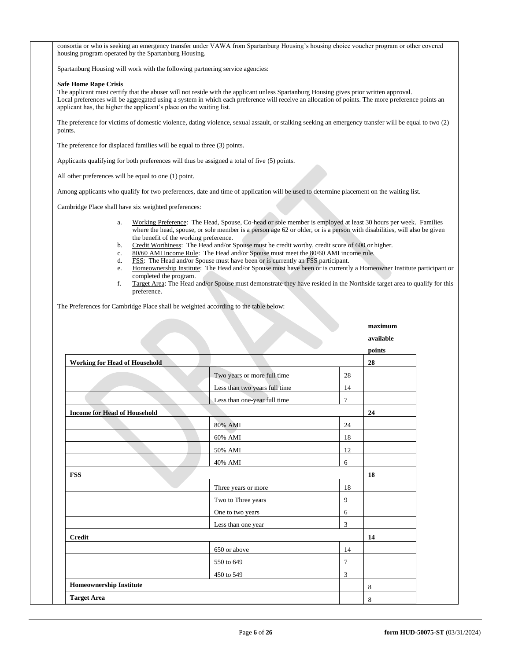consortia or who is seeking an emergency transfer under VAWA from Spartanburg Housing's housing choice voucher program or other covered housing program operated by the Spartanburg Housing.

Spartanburg Housing will work with the following partnering service agencies:

#### **Safe Home Rape Crisis**

The applicant must certify that the abuser will not reside with the applicant unless Spartanburg Housing gives prior written approval. Local preferences will be aggregated using a system in which each preference will receive an allocation of points. The more preference points an applicant has, the higher the applicant's place on the waiting list.

The preference for victims of domestic violence, dating violence, sexual assault, or stalking seeking an emergency transfer will be equal to two (2) points.

The preference for displaced families will be equal to three (3) points.

Applicants qualifying for both preferences will thus be assigned a total of five (5) points.

All other preferences will be equal to one (1) point.

Among applicants who qualify for two preferences, date and time of application will be used to determine placement on the waiting list.

Cambridge Place shall have six weighted preferences:

- a. Working Preference: The Head, Spouse, Co-head or sole member is employed at least 30 hours per week. Families where the head, spouse, or sole member is a person age 62 or older, or is a person with disabilities, will also be given the benefit of the working preference.
- b. Credit Worthiness: The Head and/or Spouse must be credit worthy, credit score of 600 or higher.
- c. 80/60 AMI Income Rule: The Head and/or Spouse must meet the 80/60 AMI income rule.
- d. FSS: The Head and/or Spouse must have been or is currently an FSS participant.
- e. Homeownership Institute: The Head and/or Spouse must have been or is currently a Homeowner Institute participant or completed the program.
- f. Target Area: The Head and/or Spouse must demonstrate they have resided in the Northside target area to qualify for this preference.

The Preferences for Cambridge Place shall be weighted according to the table below:

#### **maximum**

# **available**

|                                      |                               |                | points |  |
|--------------------------------------|-------------------------------|----------------|--------|--|
| <b>Working for Head of Household</b> |                               |                | 28     |  |
|                                      | Two years or more full time   | 28             |        |  |
|                                      | Less than two years full time | 14             |        |  |
|                                      | Less than one-year full time  | $\overline{7}$ |        |  |
| <b>Income for Head of Household</b>  |                               |                |        |  |
|                                      | 80% AMI                       | 24             |        |  |
|                                      | 60% AMI                       | 18             |        |  |
|                                      | 50% AMI                       | 12             |        |  |
|                                      | 40% AMI                       | 6              |        |  |
| <b>FSS</b>                           |                               | 18             |        |  |
|                                      | Three years or more           | 18             |        |  |
|                                      | Two to Three years            | 9              |        |  |
|                                      | One to two years              | 6              |        |  |
|                                      | Less than one year            | 3              |        |  |
| <b>Credit</b>                        |                               |                | 14     |  |
|                                      | 650 or above                  | 14             |        |  |
|                                      | 550 to 649                    | 7              |        |  |
|                                      | 450 to 549                    | 3              |        |  |
| <b>Homeownership Institute</b>       |                               |                | 8      |  |
| <b>Target Area</b>                   |                               |                | 8      |  |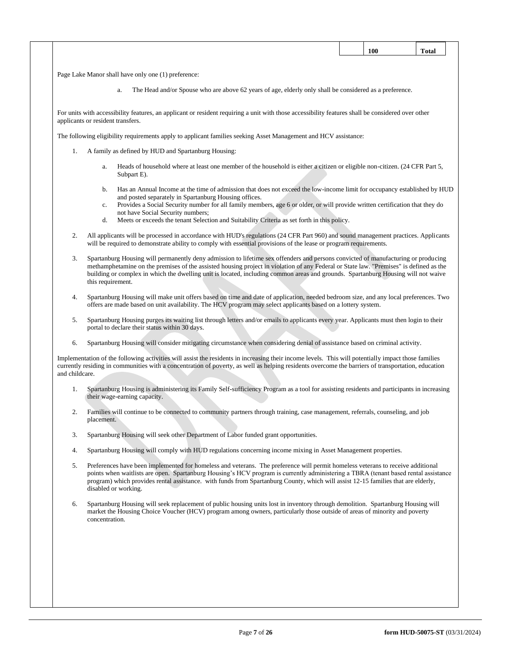|                |                                                     |                                                                                                                                                                                                                                                                                                                                                                                                                  |  | 100 | <b>Total</b> |
|----------------|-----------------------------------------------------|------------------------------------------------------------------------------------------------------------------------------------------------------------------------------------------------------------------------------------------------------------------------------------------------------------------------------------------------------------------------------------------------------------------|--|-----|--------------|
|                | Page Lake Manor shall have only one (1) preference: |                                                                                                                                                                                                                                                                                                                                                                                                                  |  |     |              |
|                | a.                                                  | The Head and/or Spouse who are above 62 years of age, elderly only shall be considered as a preference.                                                                                                                                                                                                                                                                                                          |  |     |              |
|                |                                                     |                                                                                                                                                                                                                                                                                                                                                                                                                  |  |     |              |
|                | applicants or resident transfers.                   | For units with accessibility features, an applicant or resident requiring a unit with those accessibility features shall be considered over other                                                                                                                                                                                                                                                                |  |     |              |
|                |                                                     | The following eligibility requirements apply to applicant families seeking Asset Management and HCV assistance:                                                                                                                                                                                                                                                                                                  |  |     |              |
| 1.             | A family as defined by HUD and Spartanburg Housing: |                                                                                                                                                                                                                                                                                                                                                                                                                  |  |     |              |
|                | a.<br>Subpart E).                                   | Heads of household where at least one member of the household is either a citizen or eligible non-citizen. (24 CFR Part 5,                                                                                                                                                                                                                                                                                       |  |     |              |
|                | b.<br>c.<br>not have Social Security numbers;<br>d. | Has an Annual Income at the time of admission that does not exceed the low-income limit for occupancy established by HUD<br>and posted separately in Spartanburg Housing offices.<br>Provides a Social Security number for all family members, age 6 or older, or will provide written certification that they do<br>Meets or exceeds the tenant Selection and Suitability Criteria as set forth in this policy. |  |     |              |
| 2.             |                                                     | All applicants will be processed in accordance with HUD's regulations (24 CFR Part 960) and sound management practices. Applicants<br>will be required to demonstrate ability to comply with essential provisions of the lease or program requirements.                                                                                                                                                          |  |     |              |
| 3.             | this requirement.                                   | Spartanburg Housing will permanently deny admission to lifetime sex offenders and persons convicted of manufacturing or producing<br>methamphetamine on the premises of the assisted housing project in violation of any Federal or State law. "Premises" is defined as the<br>building or complex in which the dwelling unit is located, including common areas and grounds. Spartanburg Housing will not waive |  |     |              |
| 4.             |                                                     | Spartanburg Housing will make unit offers based on time and date of application, needed bedroom size, and any local preferences. Two<br>offers are made based on unit availability. The HCV program may select applicants based on a lottery system.                                                                                                                                                             |  |     |              |
| 5.             | portal to declare their status within 30 days.      | Spartanburg Housing purges its waiting list through letters and/or emails to applicants every year. Applicants must then login to their                                                                                                                                                                                                                                                                          |  |     |              |
| 6.             |                                                     | Spartanburg Housing will consider mitigating circumstance when considering denial of assistance based on criminal activity.                                                                                                                                                                                                                                                                                      |  |     |              |
| and childcare. |                                                     | Implementation of the following activities will assist the residents in increasing their income levels. This will potentially impact those families<br>currently residing in communities with a concentration of poverty, as well as helping residents overcome the barriers of transportation, education                                                                                                        |  |     |              |
| 1.             | their wage-earning capacity.                        | Spartanburg Housing is administering its Family Self-sufficiency Program as a tool for assisting residents and participants in increasing                                                                                                                                                                                                                                                                        |  |     |              |
| 2.             | placement.                                          | Families will continue to be connected to community partners through training, case management, referrals, counseling, and job                                                                                                                                                                                                                                                                                   |  |     |              |
| 3.             |                                                     | Spartanburg Housing will seek other Department of Labor funded grant opportunities.                                                                                                                                                                                                                                                                                                                              |  |     |              |
| 4.             |                                                     | Spartanburg Housing will comply with HUD regulations concerning income mixing in Asset Management properties.                                                                                                                                                                                                                                                                                                    |  |     |              |
| 5.             | disabled or working.                                | Preferences have been implemented for homeless and veterans. The preference will permit homeless veterans to receive additional<br>points when waitlists are open. Spartanburg Housing's HCV program is currently administering a TBRA (tenant based rental assistance<br>program) which provides rental assistance. with funds from Spartanburg County, which will assist 12-15 families that are elderly,      |  |     |              |
| 6.             | concentration.                                      | Spartanburg Housing will seek replacement of public housing units lost in inventory through demolition. Spartanburg Housing will<br>market the Housing Choice Voucher (HCV) program among owners, particularly those outside of areas of minority and poverty                                                                                                                                                    |  |     |              |
|                |                                                     |                                                                                                                                                                                                                                                                                                                                                                                                                  |  |     |              |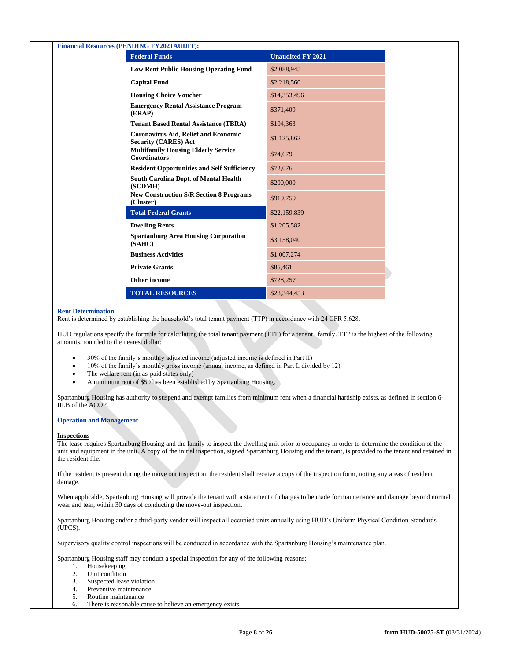| <b>Financial Resources (PENDING FY2021AUDIT):</b>                          |                          |  |  |  |  |  |
|----------------------------------------------------------------------------|--------------------------|--|--|--|--|--|
| <b>Federal Funds</b>                                                       | <b>Unaudited FY 2021</b> |  |  |  |  |  |
| <b>Low Rent Public Housing Operating Fund</b>                              | \$2,088,945              |  |  |  |  |  |
| <b>Capital Fund</b>                                                        | \$2,218,560              |  |  |  |  |  |
| <b>Housing Choice Voucher</b>                                              | \$14,353,496             |  |  |  |  |  |
| <b>Emergency Rental Assistance Program</b><br>(ERAP)                       | \$371,409                |  |  |  |  |  |
| <b>Tenant Based Rental Assistance (TBRA)</b>                               | \$104,363                |  |  |  |  |  |
| <b>Coronavirus Aid, Relief and Economic</b><br><b>Security (CARES) Act</b> | \$1,125,862              |  |  |  |  |  |
| <b>Multifamily Housing Elderly Service</b><br><b>Coordinators</b>          | \$74,679                 |  |  |  |  |  |
| <b>Resident Opportunities and Self Sufficiency</b>                         | \$72,076                 |  |  |  |  |  |
| <b>South Carolina Dept. of Mental Health</b><br>(SCDMH)                    | \$200,000                |  |  |  |  |  |
| <b>New Construction S/R Section 8 Programs</b><br>(Cluster)                | \$919,759                |  |  |  |  |  |
| <b>Total Federal Grants</b>                                                | \$22,159,839             |  |  |  |  |  |
| <b>Dwelling Rents</b>                                                      | \$1,205,582              |  |  |  |  |  |
| <b>Spartanburg Area Housing Corporation</b><br>(SAHC)                      | \$3,158,040              |  |  |  |  |  |
| <b>Business Activities</b>                                                 | \$1,007,274              |  |  |  |  |  |
| <b>Private Grants</b>                                                      | \$85,461                 |  |  |  |  |  |
| <b>Other income</b>                                                        | \$728,257                |  |  |  |  |  |
| <b>TOTAL RESOURCES</b>                                                     | \$28,344,453             |  |  |  |  |  |

# **Rent Determination**

Rent is determined by establishing the household's total tenant payment (TTP) in accordance with 24 CFR 5.628.

HUD regulations specify the formula for calculating the total tenant payment (TTP) for a tenant family. TTP is the highest of the following amounts, rounded to the nearest dollar:

- 30% of the family's monthly adjusted income (adjusted income is defined in Part II)
- 10% of the family's monthly gross income (annual income, as defined in Part I, divided by 12)
- The welfare rent (in as-paid states only)
- A minimum rent of \$50 has been established by Spartanburg Housing.

Spartanburg Housing has authority to suspend and exempt families from minimum rent when a financial hardship exists, as defined in section 6- III.B of the ACOP.

#### **Operation and Management**

#### **Inspections**

The lease requires Spartanburg Housing and the family to inspect the dwelling unit prior to occupancy in order to determine the condition of the unit and equipment in the unit. A copy of the initial inspection, signed Spartanburg Housing and the tenant, is provided to the tenant and retained in the resident file.

If the resident is present during the move out inspection, the resident shall receive a copy of the inspection form, noting any areas of resident damage.

When applicable, Spartanburg Housing will provide the tenant with a statement of charges to be made for maintenance and damage beyond normal wear and tear, within 30 days of conducting the move-out inspection.

Spartanburg Housing and/or a third-party vendor will inspect all occupied units annually using HUD's Uniform Physical Condition Standards (UPCS).

Supervisory quality control inspections will be conducted in accordance with the Spartanburg Housing's maintenance plan.

Spartanburg Housing staff may conduct a special inspection for any of the following reasons:

- 1. Housekeeping
- 2. Unit condition
- 3. Suspected lease violation
- 4. Preventive maintenance
- 5. Routine maintenance
- 6. There is reasonable cause to believe an emergency exists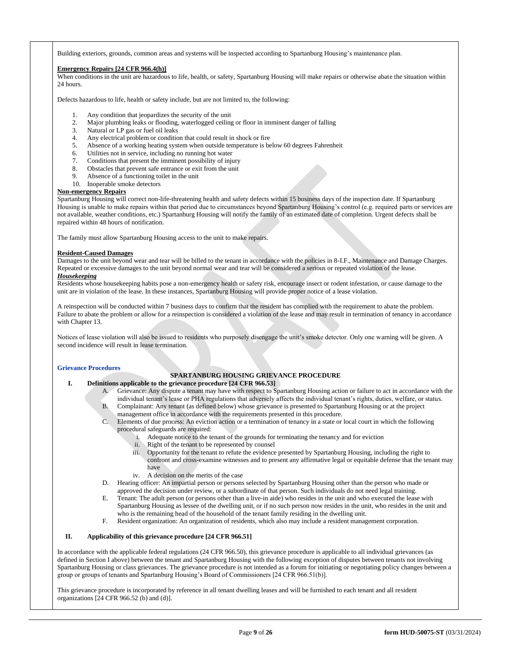Building exteriors, grounds, common areas and systems will be inspected according to Spartanburg Housing's maintenance plan.

# **Emergency Repairs [24 CFR 966.4(h)]**

When conditions in the unit are hazardous to life, health, or safety, Spartanburg Housing will make repairs or otherwise abate the situation within 24 hours.

Defects hazardous to life, health or safety include, but are not limited to, the following:

- 1. Any condition that jeopardizes the security of the unit
- 2. Major plumbing leaks or flooding, waterlogged ceiling or floor in imminent danger of falling
- 3. Natural or LP gas or fuel oil leaks
- 4. Any electrical problem or condition that could result in shock or fire
- 5. Absence of a working heating system when outside temperature is below 60 degrees Fahrenheit
- 6. Utilities not in service, including no running hot water
- 7. Conditions that present the imminent possibility of injury
- 8. Obstacles that prevent safe entrance or exit from the unit
- 9. Absence of a functioning toilet in the unit
- 10. Inoperable smoke detectors

# **Non-emergency Repairs**

Spartanburg Housing will correct non-life-threatening health and safety defects within 15 business days of the inspection date. If Spartanburg Housing is unable to make repairs within that period due to circumstances beyond Spartanburg Housing's control (e.g. required parts or services are not available, weather conditions, etc.) Spartanburg Housing will notify the family of an estimated date of completion. Urgent defects shall be repaired within 48 hours of notification.

The family must allow Spartanburg Housing access to the unit to make repairs.

## **Resident-Caused Damages**

Damages to the unit beyond wear and tear will be billed to the tenant in accordance with the policies in 8-I.F., Maintenance and Damage Charges. Repeated or excessive damages to the unit beyond normal wear and tear will be considered a serious or repeated violation of the lease. *Housekeeping*

Residents whose housekeeping habits pose a non-emergency health or safety risk, encourage insect or rodent infestation, or cause damage to the unit are in violation of the lease. In these instances, Spartanburg Housing will provide proper notice of a lease violation.

A reinspection will be conducted within 7 business days to confirm that the resident has complied with the requirement to abate the problem. Failure to abate the problem or allow for a reinspection is considered a violation of the lease and may result in termination of tenancy in accordance with Chapter 13.

Notices of lease violation will also be issued to residents who purposely disengage the unit's smoke detector. Only one warning will be given. A second incidence will result in lease termination.

# **Grievance Procedures**

# **SPARTANBURG HOUSING GRIEVANCE PROCEDURE**

- **I. Definitions applicable to the grievance procedure [24 CFR 966.53]**
	- A. Grievance: Any dispute a tenant may have with respect to Spartanburg Housing action or failure to act in accordance with the individual tenant's lease or PHA regulations that adversely affects the individual tenant's rights, duties, welfare, or status.
	- B. Complainant: Any tenant (as defined below) whose grievance is presented to Spartanburg Housing or at the project management office in accordance with the requirements presented in this procedure.
	- C. Elements of due process: An eviction action or a termination of tenancy in a state or local court in which the following procedural safeguards are required:
		- i. Adequate notice to the tenant of the grounds for terminating the tenancy and for eviction
			- ii. Right of the tenant to be represented by counsel
		- iii. Opportunity for the tenant to refute the evidence presented by Spartanburg Housing, including the right to confront and cross-examine witnesses and to present any affirmative legal or equitable defense that the tenant may have
		- iv. A decision on the merits of the case
	- D. Hearing officer: An impartial person or persons selected by Spartanburg Housing other than the person who made or approved the decision under review, or a subordinate of that person. Such individuals do not need legal training.
	- E. Tenant: The adult person (or persons other than a live-in aide) who resides in the unit and who executed the lease with Spartanburg Housing as lessee of the dwelling unit, or if no such person now resides in the unit, who resides in the unit and who is the remaining head of the household of the tenant family residing in the dwelling unit.
	- F. Resident organization: An organization of residents, which also may include a resident management corporation.

# **II. Applicability of this grievance procedure [24 CFR 966.51]**

In accordance with the applicable federal regulations (24 CFR 966.50), this grievance procedure is applicable to all individual grievances (as defined in Section I above) between the tenant and Spartanburg Housing with the following exception of disputes between tenants not involving Spartanburg Housing or class grievances. The grievance procedure is not intended as a forum for initiating or negotiating policy changes between a group or groups of tenants and Spartanburg Housing's Board of Commissioners [24 CFR 966.51(b)].

This grievance procedure is incorporated by reference in all tenant dwelling leases and will be furnished to each tenant and all resident organizations [24 CFR 966.52 (b) and (d)].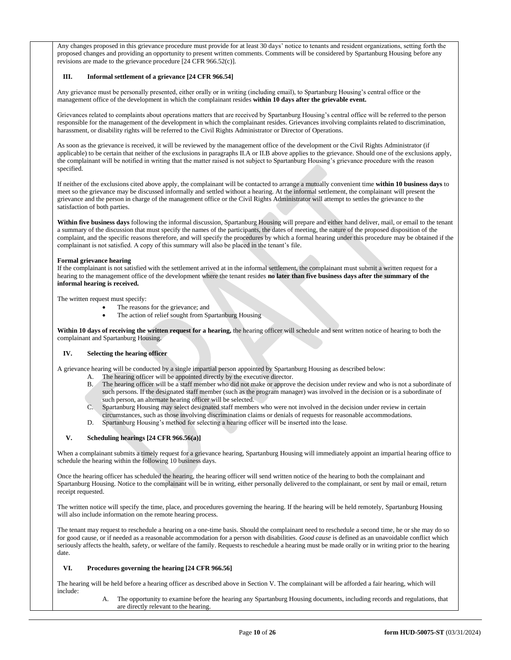Any changes proposed in this grievance procedure must provide for at least 30 days' notice to tenants and resident organizations, setting forth the proposed changes and providing an opportunity to present written comments. Comments will be considered by Spartanburg Housing before any revisions are made to the grievance procedure [24 CFR 966.52(c)].

# **III. Informal settlement of a grievance [24 CFR 966.54]**

Any grievance must be personally presented, either orally or in writing (including email), to Spartanburg Housing's central office or the management office of the development in which the complainant resides **within 10 days after the grievable event.**

Grievances related to complaints about operations matters that are received by Spartanburg Housing's central office will be referred to the person responsible for the management of the development in which the complainant resides. Grievances involving complaints related to discrimination, harassment, or disability rights will be referred to the Civil Rights Administrator or Director of Operations.

As soon as the grievance is received, it will be reviewed by the management office of the development or the Civil Rights Administrator (if applicable) to be certain that neither of the exclusions in paragraphs II.A or II.B above applies to the grievance. Should one of the exclusions apply, the complainant will be notified in writing that the matter raised is not subject to Spartanburg Housing's grievance procedure with the reason specified.

If neither of the exclusions cited above apply, the complainant will be contacted to arrange a mutually convenient time **within 10 business days** to meet so the grievance may be discussed informally and settled without a hearing. At the informal settlement, the complainant will present the grievance and the person in charge of the management office or the Civil Rights Administrator will attempt to settles the grievance to the satisfaction of both parties.

**Within five business days** following the informal discussion, Spartanburg Housing will prepare and either hand deliver, mail, or email to the tenant a summary of the discussion that must specify the names of the participants, the dates of meeting, the nature of the proposed disposition of the complaint, and the specific reasons therefore, and will specify the procedures by which a formal hearing under this procedure may be obtained if the complainant is not satisfied. A copy of this summary will also be placed in the tenant's file.

## **Formal grievance hearing**

If the complainant is not satisfied with the settlement arrived at in the informal settlement, the complainant must submit a written request for a hearing to the management office of the development where the tenant resides **no later than five business days after the summary of the informal hearing is received.** 

The written request must specify:

- The reasons for the grievance; and
- The action of relief sought from Spartanburg Housing

**Within 10 days of receiving the written request for a hearing,** the hearing officer will schedule and sent written notice of hearing to both the complainant and Spartanburg Housing.

# **IV. Selecting the hearing officer**

A grievance hearing will be conducted by a single impartial person appointed by Spartanburg Housing as described below:

- The hearing officer will be appointed directly by the executive director.
- B. The hearing officer will be a staff member who did not make or approve the decision under review and who is not a subordinate of such persons. If the designated staff member (such as the program manager) was involved in the decision or is a subordinate of such person, an alternate hearing officer will be selected.
- C. Spartanburg Housing may select designated staff members who were not involved in the decision under review in certain
- circumstances, such as those involving discrimination claims or denials of requests for reasonable accommodations.
- D. Spartanburg Housing's method for selecting a hearing officer will be inserted into the lease.

# **V. Scheduling hearings [24 CFR 966.56(a)]**

When a complainant submits a timely request for a grievance hearing, Spartanburg Housing will immediately appoint an impartial hearing office to schedule the hearing within the following 10 business days.

Once the hearing officer has scheduled the hearing, the hearing officer will send written notice of the hearing to both the complainant and Spartanburg Housing. Notice to the complainant will be in writing, either personally delivered to the complainant, or sent by mail or email, return receipt requested.

The written notice will specify the time, place, and procedures governing the hearing. If the hearing will be held remotely, Spartanburg Housing will also include information on the remote hearing process.

The tenant may request to reschedule a hearing on a one-time basis. Should the complainant need to reschedule a second time, he or she may do so for good cause, or if needed as a reasonable accommodation for a person with disabilities. *Good cause* is defined as an unavoidable conflict which seriously affects the health, safety, or welfare of the family. Requests to reschedule a hearing must be made orally or in writing prior to the hearing date.

# **VI. Procedures governing the hearing [24 CFR 966.56]**

The hearing will be held before a hearing officer as described above in Section V. The complainant will be afforded a fair hearing, which will include:

> A. The opportunity to examine before the hearing any Spartanburg Housing documents, including records and regulations, that are directly relevant to the hearing.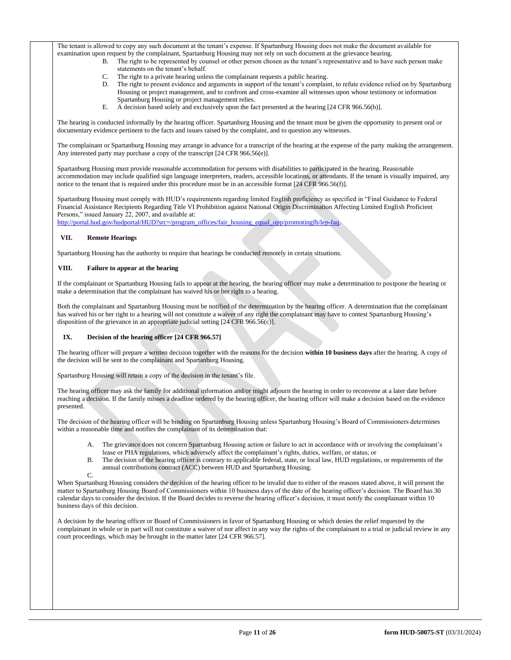The tenant is allowed to copy any such document at the tenant's expense. If Spartanburg Housing does not make the document available for examination upon request by the complainant, Spartanburg Housing may not rely on such document at the grievance hearing.

- B. The right to be represented by counsel or other person chosen as the tenant's representative and to have such person make statements on the tenant's behalf.
- C. The right to a private hearing unless the complainant requests a public hearing.
- D. The right to present evidence and arguments in support of the tenant's complaint, to refute evidence relied on by Spartanburg Housing or project management, and to confront and cross-examine all witnesses upon whose testimony or information Spartanburg Housing or project management relies.
- E. A decision based solely and exclusively upon the fact presented at the hearing [24 CFR 966.56(b)].

The hearing is conducted informally by the hearing officer. Spartanburg Housing and the tenant must be given the opportunity to present oral or documentary evidence pertinent to the facts and issues raised by the complaint, and to question any witnesses.

The complainant or Spartanburg Housing may arrange in advance for a transcript of the hearing at the expense of the party making the arrangement. Any interested party may purchase a copy of the transcript [24 CFR 966.56(e)].

Spartanburg Housing must provide reasonable accommodation for persons with disabilities to participated in the hearing. Reasonable accommodation may include qualified sign language interpreters, readers, accessible locations, or attendants. If the tenant is visually impaired, any notice to the tenant that is required under this procedure must be in an accessible format [24 CFR 966.56(f)].

Spartanburg Housing must comply with HUD's requirements regarding limited English proficiency as specified in "Final Guidance to Federal Financial Assistance Recipients Regarding Title VI Prohibition against National Origin Discrimination Affecting Limited English Proficient Persons," issued January 22, 2007, and available at:

http://portal.hud.gov/hudportal/HUD?src=/program\_offices/fair\_housing\_equal\_opp/promotingfh/lep-faq.

# **VII. Remote Hearings**

Spartanburg Housing has the authority to require that hearings be conducted remotely in certain situations.

# **VIII. Failure to appear at the hearing**

If the complainant or Spartanburg Housing fails to appear at the hearing, the hearing officer may make a determination to postpone the hearing or make a determination that the complainant has waived his or her right to a hearing.

Both the complainant and Spartanburg Housing must be notified of the determination by the hearing officer. A determination that the complainant has waived his or her right to a hearing will not constitute a waiver of any right the complainant may have to contest Spartanburg Housing's disposition of the grievance in an appropriate judicial setting [24 CFR 966.56(c)].

# **IX. Decision of the hearing officer [24 CFR 966.57]**

The hearing officer will prepare a written decision together with the reasons for the decision **within 10 business days** after the hearing. A copy of the decision will be sent to the complainant and Spartanburg Housing.

Spartanburg Housing will retain a copy of the decision in the tenant's file.

The hearing officer may ask the family for additional information and/or might adjourn the hearing in order to reconvene at a later date before reaching a decision. If the family misses a deadline ordered by the hearing officer, the hearing officer will make a decision based on the evidence presented.

The decision of the hearing officer will be binding on Spartanburg Housing unless Spartanburg Housing's Board of Commissioners determines within a reasonable time and notifies the complainant of its determination that:

- A. The grievance does not concern Spartanburg Housing action or failure to act in accordance with or involving the complainant's lease or PHA regulations, which adversely affect the complainant's rights, duties, welfare, or status; or
- B. The decision of the hearing officer is contrary to applicable federal, state, or local law, HUD regulations, or requirements of the annual contributions contract (ACC) between HUD and Spartanburg Housing.

 $\mathcal{C}$ 

When Spartanburg Housing considers the decision of the hearing officer to be invalid due to either of the reasons stated above, it will present the matter to Spartanburg Housing Board of Commissioners within 10 business days of the date of the hearing officer's decision. The Board has 30 calendar days to consider the decision. If the Board decides to reverse the hearing officer's decision, it must notify the complainant within 10 business days of this decision.

A decision by the hearing officer or Board of Commissioners in favor of Spartanburg Housing or which denies the relief requested by the complainant in whole or in part will not constitute a waiver of nor affect in any way the rights of the complainant to a trial or judicial review in any court proceedings, which may be brought in the matter later [24 CFR 966.57].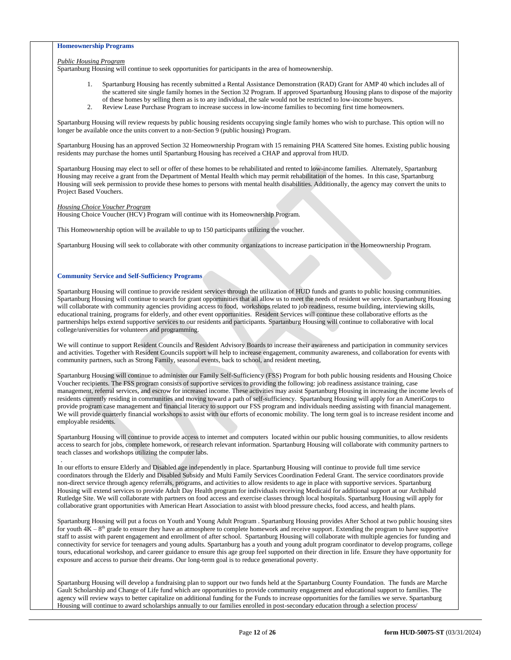# **Homeownership Programs**

#### *Public Housing Program*

Spartanburg Housing will continue to seek opportunities for participants in the area of homeownership.

- 1. Spartanburg Housing has recently submitted a Rental Assistance Demonstration (RAD) Grant for AMP 40 which includes all of the scattered site single family homes in the Section 32 Program. If approved Spartanburg Housing plans to dispose of the majority of these homes by selling them as is to any individual, the sale would not be restricted to low-income buyers.
- 2. Review Lease Purchase Program to increase success in low-income families to becoming first time homeowners.

Spartanburg Housing will review requests by public housing residents occupying single family homes who wish to purchase. This option will no longer be available once the units convert to a non-Section 9 (public housing) Program.

Spartanburg Housing has an approved Section 32 Homeownership Program with 15 remaining PHA Scattered Site homes. Existing public housing residents may purchase the homes until Spartanburg Housing has received a CHAP and approval from HUD.

Spartanburg Housing may elect to sell or offer of these homes to be rehabilitated and rented to low-income families. Alternately, Spartanburg Housing may receive a grant from the Department of Mental Health which may permit rehabilitation of the homes. In this case, Spartanburg Housing will seek permission to provide these homes to persons with mental health disabilities. Additionally, the agency may convert the units to Project Based Vouchers.

#### *Housing Choice Voucher Program*

Housing Choice Voucher (HCV) Program will continue with its Homeownership Program.

This Homeownership option will be available to up to 150 participants utilizing the voucher.

Spartanburg Housing will seek to collaborate with other community organizations to increase participation in the Homeownership Program.

# **Community Service and Self-Sufficiency Programs**

Spartanburg Housing will continue to provide resident services through the utilization of HUD funds and grants to public housing communities. Spartanburg Housing will continue to search for grant opportunities that all allow us to meet the needs of resident we service. Spartanburg Housing will collaborate with community agencies providing access to food, workshops related to job readiness, resume building, interviewing skills, educational training, programs for elderly, and other event opportunities. Resident Services will continue these collaborative efforts as the partnerships helps extend supportive services to our residents and participants. Spartanburg Housing will continue to collaborative with local college/universities for volunteers and programming.

We will continue to support Resident Councils and Resident Advisory Boards to increase their awareness and participation in community services and activities. Together with Resident Councils support will help to increase engagement, community awareness, and collaboration for events with community partners, such as Strong Family, seasonal events, back to school, and resident meeting,

Spartanburg Housing will continue to administer our Family Self-Sufficiency (FSS) Program for both public housing residents and Housing Choice Voucher recipients. The FSS program consists of supportive services to providing the following: job readiness assistance training, case management, referral services, and escrow for increased income. These activities may assist Spartanburg Housing in increasing the income levels of residents currently residing in communities and moving toward a path of self-sufficiency. Spartanburg Housing will apply for an AmeriCorps to provide program case management and financial literacy to support our FSS program and individuals needing assisting with financial management. We will provide quarterly financial workshops to assist with our efforts of economic mobility. The long term goal is to increase resident income and employable residents.

Spartanburg Housing will continue to provide access to internet and computers located within our public housing communities, to allow residents access to search for jobs, complete homework, or research relevant information. Spartanburg Housing will collaborate with community partners to teach classes and workshops utilizing the computer labs. .

In our efforts to ensure Elderly and Disabled age independently in place. Spartanburg Housing will continue to provide full time service coordinators through the Elderly and Disabled Subsidy and Multi Family Services Coordination Federal Grant. The service coordinators provide non-direct service through agency referrals, programs, and activities to allow residents to age in place with supportive services. Spartanburg Housing will extend services to provide Adult Day Health program for individuals receiving Medicaid for additional support at our Archibald Rutledge Site. We will collaborate with partners on food access and exercise classes through local hospitals. Spartanburg Housing will apply for collaborative grant opportunities with American Heart Association to assist with blood pressure checks, food access, and health plans.

Spartanburg Housing will put a focus on Youth and Young Adult Program . Spartanburg Housing provides After School at two public housing sites for youth  $4K - 8<sup>th</sup>$  grade to ensure they have an atmosphere to complete homework and receive support. Extending the program to have supportive staff to assist with parent engagement and enrollment of after school. Spartanburg Housing will collaborate with multiple agencies for funding and connectivity for service for teenagers and young adults. Spartanburg has a youth and young adult program coordinator to develop programs, college tours, educational workshop, and career guidance to ensure this age group feel supported on their direction in life. Ensure they have opportunity for exposure and access to pursue their dreams. Our long-term goal is to reduce generational poverty.

Spartanburg Housing will develop a fundraising plan to support our two funds held at the Spartanburg County Foundation. The funds are Marche Gault Scholarship and Change of Life fund which are opportunities to provide community engagement and educational support to families. The agency will review ways to better capitalize on additional funding for the Funds to increase opportunities for the families we serve. Spartanburg Housing will continue to award scholarships annually to our families enrolled in post-secondary education through a selection process/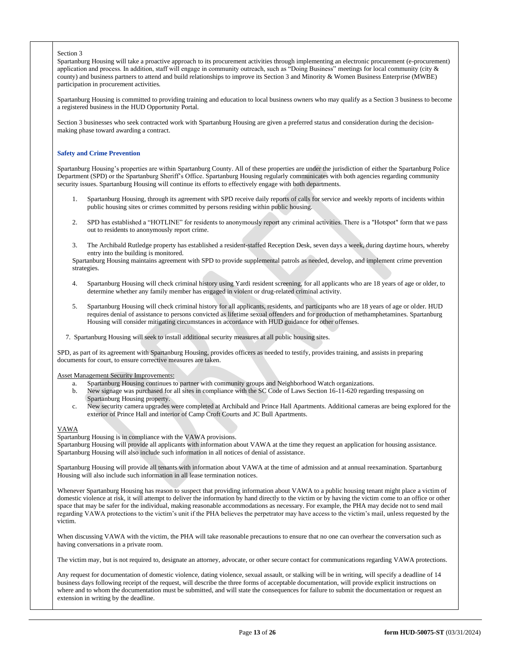#### Section 3

Spartanburg Housing will take a proactive approach to its procurement activities through implementing an electronic procurement (e-procurement) application and process. In addition, staff will engage in community outreach, such as "Doing Business" meetings for local community (city & county) and business partners to attend and build relationships to improve its Section 3 and Minority & Women Business Enterprise (MWBE) participation in procurement activities.

Spartanburg Housing is committed to providing training and education to local business owners who may qualify as a Section 3 business to become a registered business in the HUD Opportunity Portal.

Section 3 businesses who seek contracted work with Spartanburg Housing are given a preferred status and consideration during the decisionmaking phase toward awarding a contract.

#### **Safety and Crime Prevention**

Spartanburg Housing's properties are within Spartanburg County. All of these properties are under the jurisdiction of either the Spartanburg Police Department (SPD) or the Spartanburg Sheriff's Office. Spartanburg Housing regularly communicates with both agencies regarding community security issues. Spartanburg Housing will continue its efforts to effectively engage with both departments.

- 1. Spartanburg Housing, through its agreement with SPD receive daily reports of calls for service and weekly reports of incidents within public housing sites or crimes committed by persons residing within public housing.
- 2. SPD has established a "HOTLINE" for residents to anonymously report any criminal activities. There is a "Hotspot" form that we pass out to residents to anonymously report crime.
- 3. The Archibald Rutledge property has established a resident-staffed Reception Desk, seven days a week, during daytime hours, whereby entry into the building is monitored.

Spartanburg Housing maintains agreement with SPD to provide supplemental patrols as needed, develop, and implement crime prevention strategies.

- 4. Spartanburg Housing will check criminal history using Yardi resident screening, for all applicants who are 18 years of age or older, to determine whether any family member has engaged in violent or drug-related criminal activity.
- 5. Spartanburg Housing will check criminal history for all applicants, residents, and participants who are 18 years of age or older. HUD requires denial of assistance to persons convicted as lifetime sexual offenders and for production of methamphetamines. Spartanburg Housing will consider mitigating circumstances in accordance with HUD guidance for other offenses.
- 7. Spartanburg Housing will seek to install additional security measures at all public housing sites.

SPD, as part of its agreement with Spartanburg Housing, provides officers as needed to testify, provides training, and assists in preparing documents for court, to ensure corrective measures are taken.

Asset Management Security Improvements:

- a. Spartanburg Housing continues to partner with community groups and Neighborhood Watch organizations.
- b. New signage was purchased for all sites in compliance with the SC Code of Laws Section 16-11-620 regarding trespassing on Spartanburg Housing property.
- c. New security camera upgrades were completed at Archibald and Prince Hall Apartments. Additional cameras are being explored for the exterior of Prince Hall and interior of Camp Croft Courts and JC Bull Apartments.

#### VAWA

Spartanburg Housing is in compliance with the VAWA provisions. Spartanburg Housing will provide all applicants with information about VAWA at the time they request an application for housing assistance. Spartanburg Housing will also include such information in all notices of denial of assistance.

Spartanburg Housing will provide all tenants with information about VAWA at the time of admission and at annual reexamination. Spartanburg Housing will also include such information in all lease termination notices.

Whenever Spartanburg Housing has reason to suspect that providing information about VAWA to a public housing tenant might place a victim of domestic violence at risk, it will attempt to deliver the information by hand directly to the victim or by having the victim come to an office or other space that may be safer for the individual, making reasonable accommodations as necessary. For example, the PHA may decide not to send mail regarding VAWA protections to the victim's unit if the PHA believes the perpetrator may have access to the victim's mail, unless requested by the victim.

When discussing VAWA with the victim, the PHA will take reasonable precautions to ensure that no one can overhear the conversation such as having conversations in a private room.

The victim may, but is not required to, designate an attorney, advocate, or other secure contact for communications regarding VAWA protections.

Any request for documentation of domestic violence, dating violence, sexual assault, or stalking will be in writing, will specify a deadline of 14 business days following receipt of the request, will describe the three forms of acceptable documentation, will provide explicit instructions on where and to whom the documentation must be submitted, and will state the consequences for failure to submit the documentation or request an extension in writing by the deadline.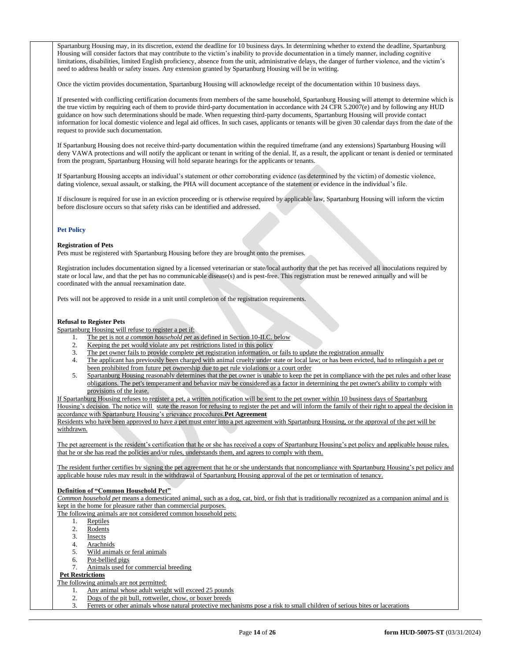Spartanburg Housing may, in its discretion, extend the deadline for 10 business days. In determining whether to extend the deadline, Spartanburg Housing will consider factors that may contribute to the victim's inability to provide documentation in a timely manner, including cognitive limitations, disabilities, limited English proficiency, absence from the unit, administrative delays, the danger of further violence, and the victim's need to address health or safety issues. Any extension granted by Spartanburg Housing will be in writing.

Once the victim provides documentation, Spartanburg Housing will acknowledge receipt of the documentation within 10 business days.

If presented with conflicting certification documents from members of the same household, Spartanburg Housing will attempt to determine which is the true victim by requiring each of them to provide third-party documentation in accordance with 24 CFR 5.2007(e) and by following any HUD guidance on how such determinations should be made. When requesting third-party documents, Spartanburg Housing will provide contact information for local domestic violence and legal aid offices. In such cases, applicants or tenants will be given 30 calendar days from the date of the request to provide such documentation.

If Spartanburg Housing does not receive third-party documentation within the required timeframe (and any extensions) Spartanburg Housing will deny VAWA protections and will notify the applicant or tenant in writing of the denial. If, as a result, the applicant or tenant is denied or terminated from the program, Spartanburg Housing will hold separate hearings for the applicants or tenants.

If Spartanburg Housing accepts an individual's statement or other corroborating evidence (as determined by the victim) of domestic violence, dating violence, sexual assault, or stalking, the PHA will document acceptance of the statement or evidence in the individual's file.

If disclosure is required for use in an eviction proceeding or is otherwise required by applicable law, Spartanburg Housing will inform the victim before disclosure occurs so that safety risks can be identified and addressed.

# **Pet Policy**

#### **Registration of Pets**

Pets must be registered with Spartanburg Housing before they are brought onto the premises.

Registration includes documentation signed by a licensed veterinarian or state/local authority that the pet has received all inoculations required by state or local law, and that the pet has no communicable disease(s) and is pest-free. This registration must be renewed annually and will be coordinated with the annual reexamination date.

Pets will not be approved to reside in a unit until completion of the registration requirements.

# **Refusal to Register Pets**

Spartanburg Housing will refuse to register a pet if:

- 1. The pet is not *a common household pet* as defined in Section 10-II.C. below
- 2. Keeping the pet would violate any pet restrictions listed in this policy
- 3. The pet owner fails to provide complete pet registration information, or fails to update the registration annually<br>4. The annicant has previously been charged with spin-1.
- 4. The applicant has previously been charged with animal cruelty under state or local law; or has been evicted, had to relinquish a pet or been prohibited from future pet ownership due to pet rule violations or a court order
- 5. Spartanburg Housing reasonably determines that the pet owner is unable to keep the pet in compliance with the pet rules and other lease obligations. The pet's temperament and behavior may be considered as a factor in determining the pet owner's ability to comply with provisions of the lease.

If Spartanburg Housing refuses to register a pet, a written notification will be sent to the pet owner within 10 business days of Spartanburg Housing's decision. The notice will state the reason for refusing to register the pet and will inform the family of their right to appeal the decision in accordance with Spartanburg Housing's grievance procedures.**Pet Agreement**

Residents who have been approved to have a pet must enter into a pet agreement with Spartanburg Housing, or the approval of the pet will be withdrawn.

The pet agreement is the resident's certification that he or she has received a copy of Spartanburg Housing's pet policy and applicable house rules, that he or she has read the policies and/or rules, understands them, and agrees to comply with them.

The resident further certifies by signing the pet agreement that he or she understands that noncompliance with Spartanburg Housing's pet policy and applicable house rules may result in the withdrawal of Spartanburg Housing approval of the pet or termination of tenancy.

# **Definition of "Common Household Pet"**

*Common household pet* means a domesticated animal, such as a dog, cat, bird, or fish that is traditionally recognized as a companion animal and is kept in the home for pleasure rather than commercial purposes.

The following animals are not considered common household pets:

- 1. Reptiles
- 2. Rodents
- 3. Insects
- 4. Arachnids
- 5. Wild animals or feral animals
- 6. Pot-bellied pigs
- 7. Animals used for commercial breeding

# **Pet Restrictions**

The following animals are not permitted:

- 1. Any animal whose adult weight will exceed 25 pounds
- 2. Dogs of the pit bull, rottweiler, chow, or boxer breeds
- 3. Ferrets or other animals whose natural protective mechanisms pose a risk to small children of serious bites or lacerations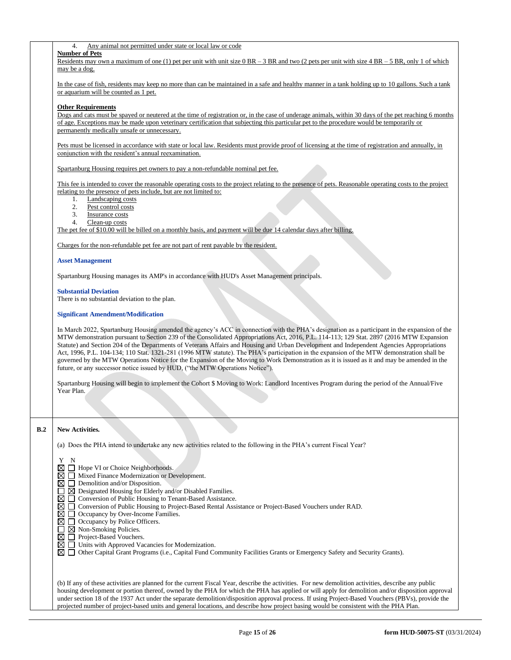|  | Any animal not permitted under state or local law or code |  |  |  |  |
|--|-----------------------------------------------------------|--|--|--|--|
|  |                                                           |  |  |  |  |

## **Number of Pets**

Residents may own a maximum of one (1) pet per unit with unit size  $0 BR - 3 BR$  and two (2 pets per unit with size  $4 BR - 5 BR$ , only 1 of which may be a dog.

In the case of fish, residents may keep no more than can be maintained in a safe and healthy manner in a tank holding up to 10 gallons. Such a tank or aquarium will be counted as 1 pet.

#### **Other Requirements**

Dogs and cats must be spayed or neutered at the time of registration or, in the case of underage animals, within 30 days of the pet reaching 6 months of age. Exceptions may be made upon veterinary certification that subjecting this particular pet to the procedure would be temporarily or permanently medically unsafe or unnecessary.

Pets must be licensed in accordance with state or local law. Residents must provide proof of licensing at the time of registration and annually, in conjunction with the resident's annual reexamination.

Spartanburg Housing requires pet owners to pay a non-refundable nominal pet fee.

This fee is intended to cover the reasonable operating costs to the project relating to the presence of pets. Reasonable operating costs to the project relating to the presence of pets include, but are not limited to:

- 1. Landscaping costs
- 2. Pest control costs
- 3. Insurance costs
- 4. Clean-up costs

The pet fee of \$10.00 will be billed on a monthly basis, and payment will be due 14 calendar days after billing.

Charges for the non-refundable pet fee are not part of rent payable by the resident.

#### **Asset Management**

Spartanburg Housing manages its AMP's in accordance with HUD's Asset Management principals.

**Substantial Deviation**

There is no substantial deviation to the plan.

#### **Significant Amendment/Modification**

In March 2022, Spartanburg Housing amended the agency's ACC in connection with the PHA's designation as a participant in the expansion of the MTW demonstration pursuant to Section 239 of the Consolidated Appropriations Act, 2016, P.L. 114-113; 129 Stat. 2897 (2016 MTW Expansion Statute) and Section 204 of the Departments of Veterans Affairs and Housing and Urban Development and Independent Agencies Appropriations Act, 1996, P.L. 104-134; 110 Stat. 1321-281 (1996 MTW statute). The PHA's participation in the expansion of the MTW demonstration shall be governed by the MTW Operations Notice for the Expansion of the Moving to Work Demonstration as it is issued as it and may be amended in the future, or any successor notice issued by HUD, ("the MTW Operations Notice").

Spartanburg Housing will begin to implement the Cohort \$ Moving to Work: Landlord Incentives Program during the period of the Annual/Five Year Plan.

#### **B.2 New Activities***.*

(a) Does the PHA intend to undertake any new activities related to the following in the PHA's current Fiscal Year?

| Y<br>N                                                                                                                                              |
|-----------------------------------------------------------------------------------------------------------------------------------------------------|
| $\boxtimes$ $\Box$ Hope VI or Choice Neighborhoods.                                                                                                 |
| $\boxtimes \square$ Mixed Finance Modernization or Development.                                                                                     |
| $\boxtimes \square$ Demolition and/or Disposition.                                                                                                  |
| $\boxtimes$ Designated Housing for Elderly and/or Disabled Families.                                                                                |
| $\boxtimes \square$ Conversion of Public Housing to Tenant-Based Assistance.                                                                        |
| M I I<br>Conversion of Public Housing to Project-Based Rental Assistance or Project-Based Vouchers under RAD.                                       |
| Occupancy by Over-Income Families.<br>$\bowtie$ 1                                                                                                   |
| $\boxtimes$ $\Box$ Occupancy by Police Officers.                                                                                                    |
| $\boxtimes$ Non-Smoking Policies.                                                                                                                   |
| $\boxtimes \square$ Project-Based Vouchers.                                                                                                         |
| $\boxtimes \square$ Units with Approved Vacancies for Modernization.                                                                                |
| Other Capital Grant Programs (i.e., Capital Fund Community Facilities Grants or Emergency Safety and Security Grants).<br>MП                        |
|                                                                                                                                                     |
|                                                                                                                                                     |
|                                                                                                                                                     |
| (b) If any of these activities are planned for the current Fiscal Year, describe the activities. For new demolition activities, describe any public |
| housing development or portion thereof, owned by the PHA for which the PHA has applied or will apply for demolition and/or disposition apply        |

housing development or portion thereof, owned by the PHA for which the PHA has applied or will apply for demolition and/or disposition approval under section 18 of the 1937 Act under the separate demolition/disposition approval process. If using Project-Based Vouchers (PBVs), provide the projected number of project-based units and general locations, and describe how project basing would be consistent with the PHA Plan.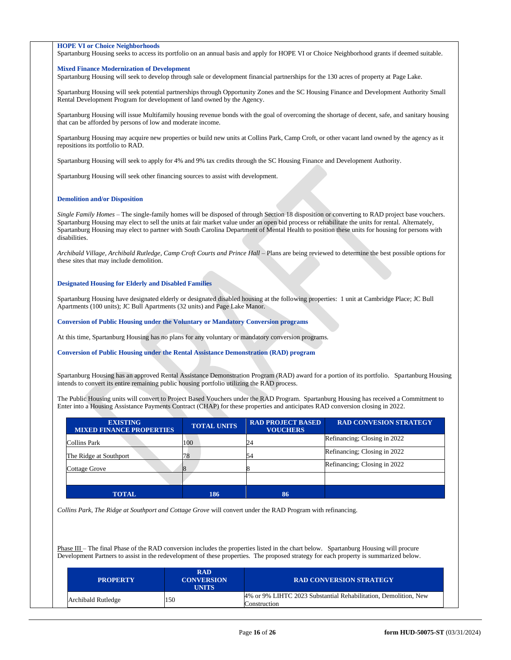### **HOPE VI or Choice Neighborhoods**

Spartanburg Housing seeks to access its portfolio on an annual basis and apply for HOPE VI or Choice Neighborhood grants if deemed suitable.

#### **Mixed Finance Modernization of Development**

Spartanburg Housing will seek to develop through sale or development financial partnerships for the 130 acres of property at Page Lake.

Spartanburg Housing will seek potential partnerships through Opportunity Zones and the SC Housing Finance and Development Authority Small Rental Development Program for development of land owned by the Agency.

Spartanburg Housing will issue Multifamily housing revenue bonds with the goal of overcoming the shortage of decent, safe, and sanitary housing that can be afforded by persons of low and moderate income.

Spartanburg Housing may acquire new properties or build new units at Collins Park, Camp Croft, or other vacant land owned by the agency as it repositions its portfolio to RAD.

Spartanburg Housing will seek to apply for 4% and 9% tax credits through the SC Housing Finance and Development Authority.

Spartanburg Housing will seek other financing sources to assist with development.

#### **Demolition and/or Disposition**

*Single Family Homes* – The single-family homes will be disposed of through Section 18 disposition or converting to RAD project base vouchers. Spartanburg Housing may elect to sell the units at fair market value under an open bid process or rehabilitate the units for rental. Alternately, Spartanburg Housing may elect to partner with South Carolina Department of Mental Health to position these units for housing for persons with disabilities.

*Archibald Village, Archibald Rutledge, Camp Croft Courts and Prince Hall* – Plans are being reviewed to determine the best possible options for these sites that may include demolition.

#### **Designated Housing for Elderly and Disabled Families**

Spartanburg Housing have designated elderly or designated disabled housing at the following properties: 1 unit at Cambridge Place; JC Bull Apartments (100 units); JC Bull Apartments (32 units) and Page Lake Manor.

**Conversion of Public Housing under the Voluntary or Mandatory Conversion programs**

At this time, Spartanburg Housing has no plans for any voluntary or mandatory conversion programs.

**Conversion of Public Housing under the Rental Assistance Demonstration (RAD) program** 

Spartanburg Housing has an approved Rental Assistance Demonstration Program (RAD) award for a portion of its portfolio. Spartanburg Housing intends to convert its entire remaining public housing portfolio utilizing the RAD process.

The Public Housing units will convert to Project Based Vouchers under the RAD Program. Spartanburg Housing has received a Commitment to Enter into a Housing Assistance Payments Contract (CHAP) for these properties and anticipates RAD conversion closing in 2022.

| <b>EXISTING</b><br><b>MIXED FINANCE PROPERTIES</b> | <b>TOTAL UNITS</b> | <b>RAD PROJECT BASED</b><br><b>VOUCHERS</b> | <b>RAD CONVESION STRATEGY</b> |
|----------------------------------------------------|--------------------|---------------------------------------------|-------------------------------|
| Collins Park                                       | 100                | 24                                          | Refinancing; Closing in 2022  |
| The Ridge at Southport                             | 78                 | 54                                          | Refinancing; Closing in 2022  |
| Cottage Grove                                      |                    |                                             | Refinancing; Closing in 2022  |
|                                                    |                    |                                             |                               |
| <b>TOTAL</b>                                       | 186                | 86                                          |                               |

*Collins Park, The Ridge at Southport and Cottage Grove* will convert under the RAD Program with refinancing.

Phase III – The final Phase of the RAD conversion includes the properties listed in the chart below. Spartanburg Housing will procure Development Partners to assist in the redevelopment of these properties. The proposed strategy for each property is summarized below.

| <b>PROPERTY</b>    | <b>RAD</b><br><b>CONVERSION</b><br>UNITS | <b>RAD CONVERSION STRATEGY</b>                                                  |
|--------------------|------------------------------------------|---------------------------------------------------------------------------------|
| Archibald Rutledge | 150                                      | 4% or 9% LIHTC 2023 Substantial Rehabilitation, Demolition, New<br>Construction |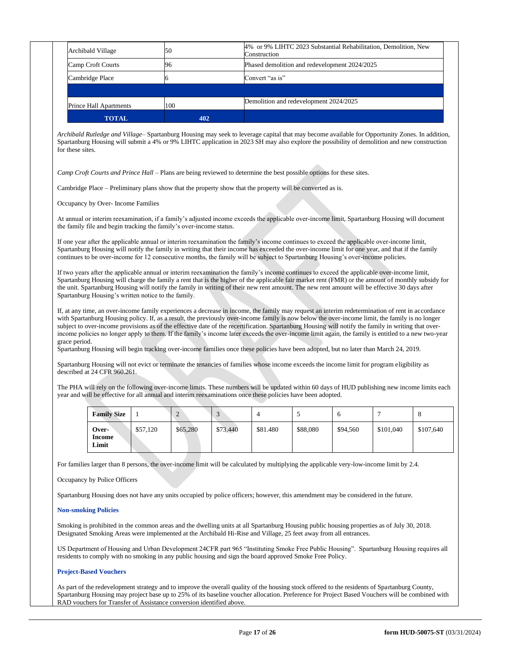| <b>TOTAL</b>                  | 402 |                                                                                 |
|-------------------------------|-----|---------------------------------------------------------------------------------|
| <b>Prince Hall Apartments</b> | 100 | Demolition and redevelopment 2024/2025                                          |
| Cambridge Place               |     | Convert "as is"                                                                 |
|                               |     |                                                                                 |
| Camp Croft Courts             | 96  | Phased demolition and redevelopment 2024/2025                                   |
| Archibald Village             | 50  | 4% or 9% LIHTC 2023 Substantial Rehabilitation, Demolition, New<br>Construction |

*Archibald Rutledge and Village*– Spartanburg Housing may seek to leverage capital that may become available for Opportunity Zones. In addition, Spartanburg Housing will submit a 4% or 9% LIHTC application in 2023 SH may also explore the possibility of demolition and new construction for these sites.

*Camp Croft Courts and Prince Hall* – Plans are being reviewed to determine the best possible options for these sites.

Cambridge Place – Preliminary plans show that the property show that the property will be converted as is.

Occupancy by Over- Income Families

At annual or interim reexamination, if a family's adjusted income exceeds the applicable over-income limit, Spartanburg Housing will document the family file and begin tracking the family's over-income status.

If one year after the applicable annual or interim reexamination the family's income continues to exceed the applicable over-income limit, Spartanburg Housing will notify the family in writing that their income has exceeded the over-income limit for one year, and that if the family continues to be over-income for 12 consecutive months, the family will be subject to Spartanburg Housing's over-income policies.

If two years after the applicable annual or interim reexamination the family's income continues to exceed the applicable over-income limit, Spartanburg Housing will charge the family a rent that is the higher of the applicable fair market rent (FMR) or the amount of monthly subsidy for the unit. Spartanburg Housing will notify the family in writing of their new rent amount. The new rent amount will be effective 30 days after Spartanburg Housing's written notice to the family.

If, at any time, an over-income family experiences a decrease in income, the family may request an interim redetermination of rent in accordance with Spartanburg Housing policy. If, as a result, the previously over-income family is now below the over-income limit, the family is no longer subject to over-income provisions as of the effective date of the recertification. Spartanburg Housing will notify the family in writing that overincome policies no longer apply to them. If the family's income later exceeds the over-income limit again, the family is entitled to a new two-year grace period.

Spartanburg Housing will begin tracking over-income families once these policies have been adopted, but no later than March 24, 2019.

Spartanburg Housing will not evict or terminate the tenancies of families whose income exceeds the income limit for program eligibility as described at 24 CFR 960.261.

The PHA will rely on the following over-income limits. These numbers will be updated within 60 days of HUD publishing new income limits each year and will be effective for all annual and interim reexaminations once these policies have been adopted.

| <b>Family Size</b>       |          |          |          |          |          | n        |           |           |
|--------------------------|----------|----------|----------|----------|----------|----------|-----------|-----------|
| Over-<br>Income<br>Limit | \$57,120 | \$65,280 | \$73,440 | \$81.480 | \$88,080 | \$94,560 | \$101,040 | \$107,640 |

For families larger than 8 persons, the over-income limit will be calculated by multiplying the applicable very-low-income limit by 2.4.

Occupancy by Police Officers

Spartanburg Housing does not have any units occupied by police officers; however, this amendment may be considered in the future.

## **Non-smoking Policies**

Smoking is prohibited in the common areas and the dwelling units at all Spartanburg Housing public housing properties as of July 30, 2018. Designated Smoking Areas were implemented at the Archibald Hi-Rise and Village, 25 feet away from all entrances.

US Department of Housing and Urban Development 24CFR part 965 "Instituting Smoke Free Public Housing". Spartanburg Housing requires all residents to comply with no smoking in any public housing and sign the board approved Smoke Free Policy.

# **Project-Based Vouchers**

As part of the redevelopment strategy and to improve the overall quality of the housing stock offered to the residents of Spartanburg County, Spartanburg Housing may project base up to 25% of its baseline voucher allocation. Preference for Project Based Vouchers will be combined with RAD vouchers for Transfer of Assistance conversion identified above.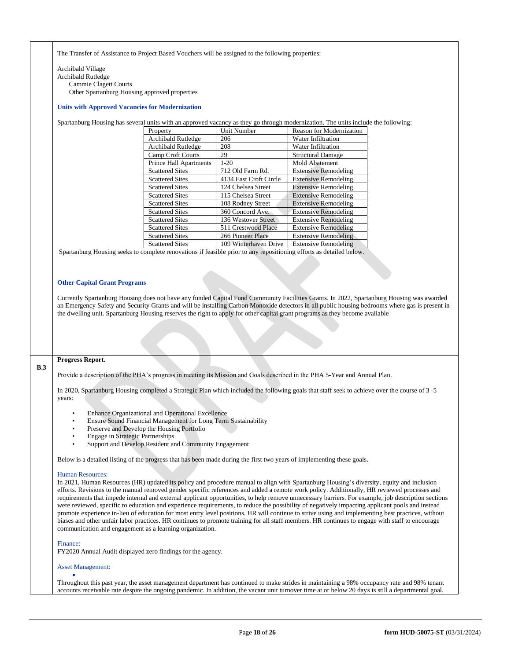The Transfer of Assistance to Project Based Vouchers will be assigned to the following properties:

Archibald Village Archibald Rutledge Cammie Clagett Courts Other Spartanburg Housing approved properties

#### **Units with Approved Vacancies for Modernization**

Spartanburg Housing has several units with an approved vacancy as they go through modernization. The units include the following:

| Property                      | <b>Unit Number</b>     | <b>Reason for Modernization</b> |
|-------------------------------|------------------------|---------------------------------|
| Archibald Rutledge            | 206                    | Water Infiltration              |
| <b>Archibald Rutledge</b>     | 208                    | <b>Water Infiltration</b>       |
| Camp Croft Courts             | 29                     | <b>Structural Damage</b>        |
| <b>Prince Hall Apartments</b> | $1-20$                 | Mold Abatement                  |
| <b>Scattered Sites</b>        | 712 Old Farm Rd.       | <b>Extensive Remodeling</b>     |
| <b>Scattered Sites</b>        | 4134 East Croft Circle | <b>Extensive Remodeling</b>     |
| <b>Scattered Sites</b>        | 124 Chelsea Street     | <b>Extensive Remodeling</b>     |
| <b>Scattered Sites</b>        | 115 Chelsea Street     | <b>Extensive Remodeling</b>     |
| <b>Scattered Sites</b>        | 108 Rodney Street      | <b>Extensive Remodeling</b>     |
| <b>Scattered Sites</b>        | 360 Concord Ave.       | <b>Extensive Remodeling</b>     |
| <b>Scattered Sites</b>        | 136 Westover Street    | <b>Extensive Remodeling</b>     |
| <b>Scattered Sites</b>        | 511 Crestwood Place    | <b>Extensive Remodeling</b>     |
| <b>Scattered Sites</b>        | 266 Pioneer Place      | <b>Extensive Remodeling</b>     |
| <b>Scattered Sites</b>        | 109 Winterhaven Drive  | <b>Extensive Remodeling</b>     |

Spartanburg Housing seeks to complete renovations if feasible prior to any repositioning efforts as detailed below.

#### **Other Capital Grant Programs**

Currently Spartanburg Housing does not have any funded Capital Fund Community Facilities Grants. In 2022, Spartanburg Housing was awarded an Emergency Safety and Security Grants and will be installing Carbon Monoxide detectors in all public housing bedrooms where gas is present in the dwelling unit. Spartanburg Housing reserves the right to apply for other capital grant programs as they become available

**B.3**

# **Progress Report.**

Provide a description of the PHA's progress in meeting its Mission and Goals described in the PHA 5-Year and Annual Plan.

In 2020, Spartanburg Housing completed a Strategic Plan which included the following goals that staff seek to achieve over the course of 3 -5 years:

- Enhance Organizational and Operational Excellence
- Ensure Sound Financial Management for Long Term Sustainability
- Preserve and Develop the Housing Portfolio
- Engage in Strategic Partnerships
- Support and Develop Resident and Community Engagement

Below is a detailed listing of the progress that has been made during the first two years of implementing these goals.

#### Human Resources:

In 2021, Human Resources (HR) updated its policy and procedure manual to align with Spartanburg Housing's diversity, equity and inclusion efforts. Revisions to the manual removed gender specific references and added a remote work policy. Additionally, HR reviewed processes and requirements that impede internal and external applicant opportunities, to help remove unnecessary barriers. For example, job description sections were reviewed, specific to education and experience requirements, to reduce the possibility of negatively impacting applicant pools and instead promote experience in-lieu of education for most entry level positions. HR will continue to strive using and implementing best practices, without biases and other unfair labor practices. HR continues to promote training for all staff members. HR continues to engage with staff to encourage communication and engagement as a learning organization.

#### Finance:

FY2020 Annual Audit displayed zero findings for the agency.

#### Asset Management:

•

Throughout this past year, the asset management department has continued to make strides in maintaining a 98% occupancy rate and 98% tenant accounts receivable rate despite the ongoing pandemic. In addition, the vacant unit turnover time at or below 20 days is still a departmental goal.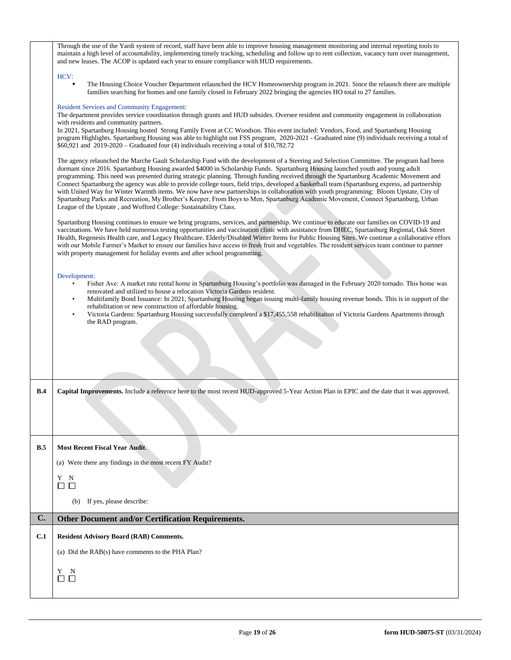|            | Through the use of the Yardi system of record, staff have been able to improve housing management monitoring and internal reporting tools to<br>maintain a high level of accountability, implementing timely tracking, scheduling and follow up to rent collection, vacancy turn over management,<br>and new leases. The ACOP is updated each year to ensure compliance with HUD requirements.                                                                                                                                                                                                                                                                                                                                                                                                                                                                                                                               |  |  |  |
|------------|------------------------------------------------------------------------------------------------------------------------------------------------------------------------------------------------------------------------------------------------------------------------------------------------------------------------------------------------------------------------------------------------------------------------------------------------------------------------------------------------------------------------------------------------------------------------------------------------------------------------------------------------------------------------------------------------------------------------------------------------------------------------------------------------------------------------------------------------------------------------------------------------------------------------------|--|--|--|
|            | HCV:<br>The Housing Choice Voucher Department relaunched the HCV Homeownership program in 2021. Since the relaunch there are multiple<br>families searching for homes and one family closed in February 2022 bringing the agencies HO total to 27 families.                                                                                                                                                                                                                                                                                                                                                                                                                                                                                                                                                                                                                                                                  |  |  |  |
|            | <b>Resident Services and Community Engagement:</b><br>The department provides service coordination through grants and HUD subsides. Oversee resident and community engagement in collaboration<br>with residents and community partners.                                                                                                                                                                                                                                                                                                                                                                                                                                                                                                                                                                                                                                                                                     |  |  |  |
|            | In 2021, Spartanburg Housing hosted Strong Family Event at CC Woodson. This event included: Vendors, Food, and Spartanburg Housing<br>program Highlights. Spartanburg Housing was able to highlight out FSS program, 2020-2021 - Graduated nine (9) individuals receiving a total of<br>\$60,921 and 2019-2020 - Graduated four (4) individuals receiving a total of \$10,782.72                                                                                                                                                                                                                                                                                                                                                                                                                                                                                                                                             |  |  |  |
|            | The agency relaunched the Marche Gault Scholarship Fund with the development of a Steering and Selection Committee. The program had been<br>dormant since 2016. Spartanburg Housing awarded \$4000 in Scholarship Funds. Spartanburg Housing launched youth and young adult<br>programming. This need was presented during strategic planning. Through funding received through the Spartanburg Academic Movement and<br>Connect Spartanburg the agency was able to provide college tours, field trips, developed a basketball team (Spartanburg express, ad partnership<br>with United Way for Winter Warmth items. We now have new partnerships in collaboration with youth programming: Bloom Upstate, City of<br>Spartanburg Parks and Recreation, My Brother's Keeper, From Boys to Men, Spartanburg Academic Movement, Connect Spartanburg, Urban<br>League of the Upstate, and Wofford College: Sustainability Class. |  |  |  |
|            | Spartanburg Housing continues to ensure we bring programs, services, and partnership. We continue to educate our families on COVID-19 and<br>vaccinations. We have held numerous testing opportunities and vaccination clinic with assistance from DHEC, Spartanburg Regional, Oak Street<br>Health, Regenesis Health care, and Legacy Healthcare. Elderly/Disabled Winter Items for Public Housing Sites. We continue a collaborative effors<br>with our Mobile Farmer's Market to ensure our families have access to fresh fruit and vegetables. The resident services team continue to partner<br>with property management for holiday events and after school programming.                                                                                                                                                                                                                                               |  |  |  |
|            | Development:                                                                                                                                                                                                                                                                                                                                                                                                                                                                                                                                                                                                                                                                                                                                                                                                                                                                                                                 |  |  |  |
|            | Fisher Ave: A market rate rental home in Spartanburg Housing's portfolio was damaged in the February 2020 tornado. This home was<br>$\bullet$<br>renovated and utilized to house a relocation Victoria Gardens resident.                                                                                                                                                                                                                                                                                                                                                                                                                                                                                                                                                                                                                                                                                                     |  |  |  |
|            | Multifamily Bond Issuance: In 2021, Spartanburg Housing began issuing multi-family housing revenue bonds. This is in support of the<br>$\bullet$                                                                                                                                                                                                                                                                                                                                                                                                                                                                                                                                                                                                                                                                                                                                                                             |  |  |  |
|            | rehabilitation or new construction of affordable housing.<br>Victoria Gardens: Spartanburg Housing successfully completed a \$17,455,558 rehabilitation of Victoria Gardens Apartments through<br>$\bullet$                                                                                                                                                                                                                                                                                                                                                                                                                                                                                                                                                                                                                                                                                                                  |  |  |  |
|            |                                                                                                                                                                                                                                                                                                                                                                                                                                                                                                                                                                                                                                                                                                                                                                                                                                                                                                                              |  |  |  |
|            | the RAD program.                                                                                                                                                                                                                                                                                                                                                                                                                                                                                                                                                                                                                                                                                                                                                                                                                                                                                                             |  |  |  |
|            |                                                                                                                                                                                                                                                                                                                                                                                                                                                                                                                                                                                                                                                                                                                                                                                                                                                                                                                              |  |  |  |
|            |                                                                                                                                                                                                                                                                                                                                                                                                                                                                                                                                                                                                                                                                                                                                                                                                                                                                                                                              |  |  |  |
|            |                                                                                                                                                                                                                                                                                                                                                                                                                                                                                                                                                                                                                                                                                                                                                                                                                                                                                                                              |  |  |  |
| B.4        | Capital Improvements. Include a reference here to the most recent HUD-approved 5-Year Action Plan in EPIC and the date that it was approved.                                                                                                                                                                                                                                                                                                                                                                                                                                                                                                                                                                                                                                                                                                                                                                                 |  |  |  |
|            |                                                                                                                                                                                                                                                                                                                                                                                                                                                                                                                                                                                                                                                                                                                                                                                                                                                                                                                              |  |  |  |
| B.5        | <b>Most Recent Fiscal Year Audit.</b>                                                                                                                                                                                                                                                                                                                                                                                                                                                                                                                                                                                                                                                                                                                                                                                                                                                                                        |  |  |  |
|            | (a) Were there any findings in the most recent FY Audit?                                                                                                                                                                                                                                                                                                                                                                                                                                                                                                                                                                                                                                                                                                                                                                                                                                                                     |  |  |  |
|            | Y N                                                                                                                                                                                                                                                                                                                                                                                                                                                                                                                                                                                                                                                                                                                                                                                                                                                                                                                          |  |  |  |
|            | $\Box$ $\Box$                                                                                                                                                                                                                                                                                                                                                                                                                                                                                                                                                                                                                                                                                                                                                                                                                                                                                                                |  |  |  |
|            | If yes, please describe:<br>(b)                                                                                                                                                                                                                                                                                                                                                                                                                                                                                                                                                                                                                                                                                                                                                                                                                                                                                              |  |  |  |
| C.         | <b>Other Document and/or Certification Requirements.</b>                                                                                                                                                                                                                                                                                                                                                                                                                                                                                                                                                                                                                                                                                                                                                                                                                                                                     |  |  |  |
| <b>C.1</b> | <b>Resident Advisory Board (RAB) Comments.</b>                                                                                                                                                                                                                                                                                                                                                                                                                                                                                                                                                                                                                                                                                                                                                                                                                                                                               |  |  |  |
|            | (a) Did the RAB(s) have comments to the PHA Plan?                                                                                                                                                                                                                                                                                                                                                                                                                                                                                                                                                                                                                                                                                                                                                                                                                                                                            |  |  |  |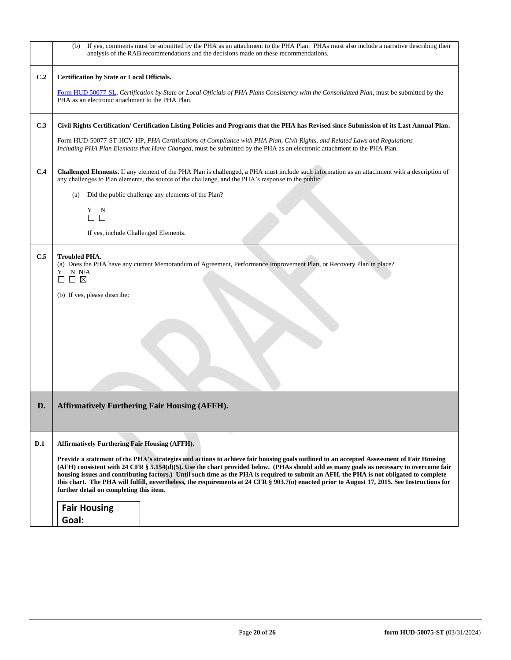|     | (b) If yes, comments must be submitted by the PHA as an attachment to the PHA Plan. PHAs must also include a narrative describing their<br>analysis of the RAB recommendations and the decisions made on these recommendations.                                                                                                                                                                                                                                                                                                                                                                                                |  |  |
|-----|--------------------------------------------------------------------------------------------------------------------------------------------------------------------------------------------------------------------------------------------------------------------------------------------------------------------------------------------------------------------------------------------------------------------------------------------------------------------------------------------------------------------------------------------------------------------------------------------------------------------------------|--|--|
| C.2 | Certification by State or Local Officials.                                                                                                                                                                                                                                                                                                                                                                                                                                                                                                                                                                                     |  |  |
|     | Form HUD 50077-SL, Certification by State or Local Officials of PHA Plans Consistency with the Consolidated Plan, must be submitted by the<br>PHA as an electronic attachment to the PHA Plan.                                                                                                                                                                                                                                                                                                                                                                                                                                 |  |  |
| C.3 | Civil Rights Certification/ Certification Listing Policies and Programs that the PHA has Revised since Submission of its Last Annual Plan.                                                                                                                                                                                                                                                                                                                                                                                                                                                                                     |  |  |
|     | Form HUD-50077-ST-HCV-HP, PHA Certifications of Compliance with PHA Plan, Civil Rights, and Related Laws and Regulations<br>Including PHA Plan Elements that Have Changed, must be submitted by the PHA as an electronic attachment to the PHA Plan.                                                                                                                                                                                                                                                                                                                                                                           |  |  |
| C.4 | Challenged Elements. If any element of the PHA Plan is challenged, a PHA must include such information as an attachment with a description of<br>any challenges to Plan elements, the source of the challenge, and the PHA's response to the public.                                                                                                                                                                                                                                                                                                                                                                           |  |  |
|     | Did the public challenge any elements of the Plan?<br>(a)                                                                                                                                                                                                                                                                                                                                                                                                                                                                                                                                                                      |  |  |
|     | Y N<br>$\Box$                                                                                                                                                                                                                                                                                                                                                                                                                                                                                                                                                                                                                  |  |  |
|     | If yes, include Challenged Elements.                                                                                                                                                                                                                                                                                                                                                                                                                                                                                                                                                                                           |  |  |
| C.5 | <b>Troubled PHA.</b><br>(a) Does the PHA have any current Memorandum of Agreement, Performance Improvement Plan, or Recovery Plan in place?<br>N N/A<br>Y<br>$\square$ $\square$<br>$\mathsf{L}$<br>(b) If yes, please describe:                                                                                                                                                                                                                                                                                                                                                                                               |  |  |
|     |                                                                                                                                                                                                                                                                                                                                                                                                                                                                                                                                                                                                                                |  |  |
| D.  | <b>Affirmatively Furthering Fair Housing (AFFH).</b>                                                                                                                                                                                                                                                                                                                                                                                                                                                                                                                                                                           |  |  |
| D.1 | <b>Affirmatively Furthering Fair Housing (AFFH).</b>                                                                                                                                                                                                                                                                                                                                                                                                                                                                                                                                                                           |  |  |
|     | Provide a statement of the PHA's strategies and actions to achieve fair housing goals outlined in an accepted Assessment of Fair Housing<br>$(AFH)$ consistent with 24 CFR $\S 5.154(d)(5)$ . Use the chart provided below. (PHAs should add as many goals as necessary to overcome fair<br>housing issues and contributing factors.) Until such time as the PHA is required to submit an AFH, the PHA is not obligated to complete<br>this chart. The PHA will fulfill, nevertheless, the requirements at 24 CFR § 903.7(0) enacted prior to August 17, 2015. See Instructions for<br>further detail on completing this item. |  |  |
|     | <b>Fair Housing</b><br>Goal:                                                                                                                                                                                                                                                                                                                                                                                                                                                                                                                                                                                                   |  |  |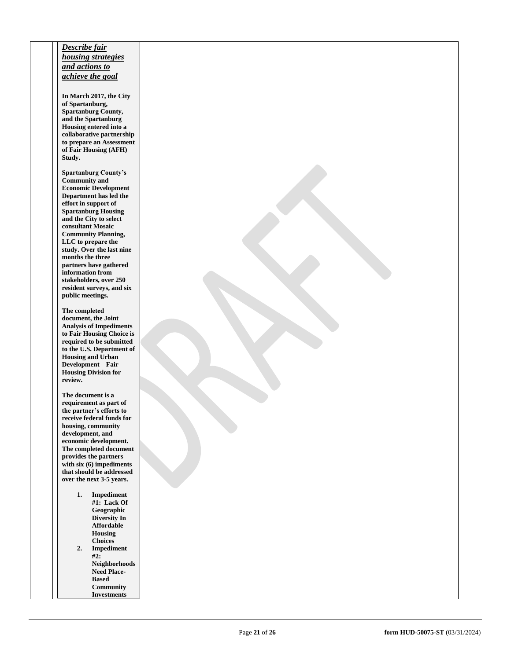# *Describe fair housing strategies and actions to achieve the goal*

**In March 2017, the City of Spartanburg, Spartanburg County, and the Spartanburg Housing entered into a collaborative partnership to prepare an Assessment of Fair Housing (AFH) Study.**

**Spartanburg County's Community and Economic Development Department has led the effort in support of Spartanburg Housing and the City to select consultant Mosaic Community Planning, LLC to prepare the study. Over the last nine months the three partners have gathered information from stakeholders, over 250 resident surveys, and six public meetings.**

**The completed document, the Joint Analysis of Impediments to Fair Housing Choice is required to be submitted to the U.S. Department of Housing and Urban Development – Fair Housing Division for review.**

**The document is a requirement as part of the partner's efforts to receive federal funds for housing, community development, and economic development. The completed document provides the partners with six (6) impediments that should be addressed over the next 3 -5 years.** 

> **1. Impediment #1: Lack Of Geographic Diversity In Affordable Housing Choices 2. Impediment #2: Neighborhoods Need Place - Based Community Investments**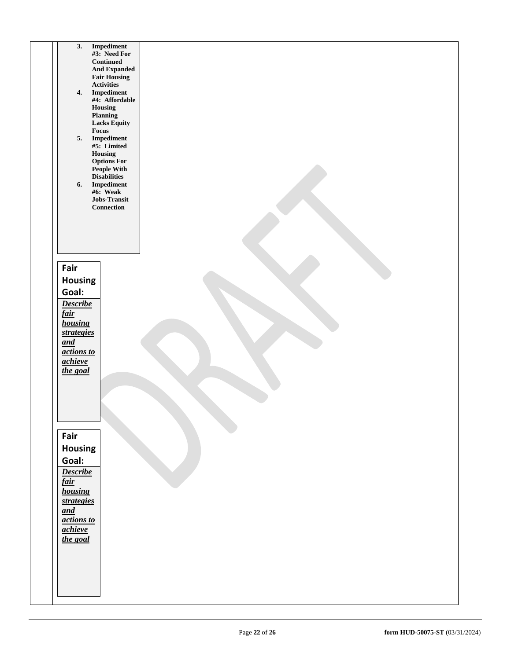| Impediment<br>3.                                        |  |
|---------------------------------------------------------|--|
| #3: Need For<br>$\label{1.1} {\bf {Continued}}$         |  |
| <b>And Expanded</b>                                     |  |
| <b>Fair Housing</b><br>Activities                       |  |
| $\label{lem:optimal} {\bf Implement}$<br>4.             |  |
| #4: Affordable                                          |  |
| Housing<br>Planning                                     |  |
| <b>Lacks Equity</b>                                     |  |
| Focus<br>5.                                             |  |
| $\label{lem:optimal} {\bf Implement}$<br>#5: Limited    |  |
| Housing                                                 |  |
| <b>Options For</b><br>People With                       |  |
| <b>Disabilities</b>                                     |  |
| $\label{lem:optimal} {\bf Implement}$<br>6.<br>#6: Weak |  |
| Jobs-Transit                                            |  |
| Connection                                              |  |
|                                                         |  |
|                                                         |  |
|                                                         |  |
|                                                         |  |
| Fair                                                    |  |
|                                                         |  |
| Housing                                                 |  |
| Goal:                                                   |  |
| <b>Describe</b>                                         |  |
| <u>fair</u>                                             |  |
| housing<br><i>strategies</i>                            |  |
| and                                                     |  |
| actions to                                              |  |
| achieve                                                 |  |
| the goal                                                |  |
|                                                         |  |
|                                                         |  |
|                                                         |  |
|                                                         |  |
|                                                         |  |
| Fair                                                    |  |
| <b>Housing</b>                                          |  |
| Goal:                                                   |  |
| <b>Describe</b>                                         |  |
| fair                                                    |  |
| housing                                                 |  |
| strategies                                              |  |
| and                                                     |  |
| actions to                                              |  |
| achieve                                                 |  |
| the goal                                                |  |
|                                                         |  |
|                                                         |  |
|                                                         |  |
|                                                         |  |
|                                                         |  |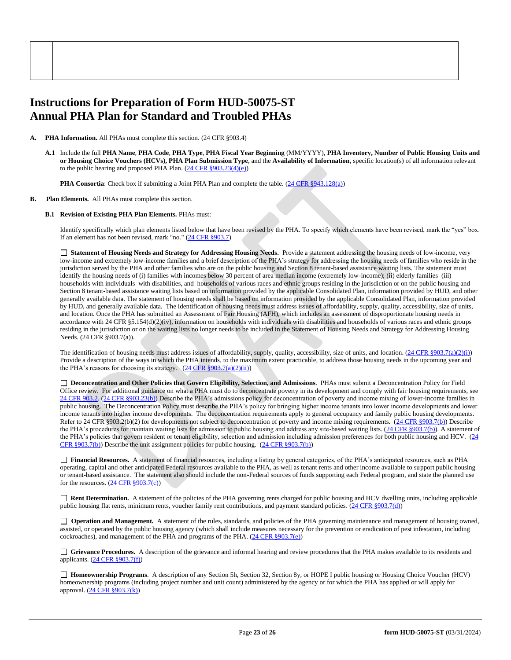# **Instructions for Preparation of Form HUD-50075-ST Annual PHA Plan for Standard and Troubled PHAs**

- **PHA Information.** All PHAs must complete this section. (24 CFR §903.4)
	- **A.1** Include the full **PHA Name**, **PHA Code**, **PHA Type**, **PHA Fiscal Year Beginning** (MM/YYYY), **PHA Inventory, Number of Public Housing Units and or Housing Choice Vouchers (HCVs), PHA Plan Submission Type**, and the **Availability of Information**, specific location(s) of all information relevant to the public hearing and proposed PHA Plan.  $(24 \text{ CFR } \frac{§903.23(4)(e)}{e})$

**PHA Consortia**: Check box if submitting a Joint PHA Plan and complete the table. [\(24 CFR §943.128\(a\)\)](http://ecfr.gpoaccess.gov/cgi/t/text/text-idx?c=ecfr&sid=cc31cf1c3a2b84ba4ead75d35d258f67&rgn=div5&view=text&node=24:4.0.3.1.10&idno=24#24:4.0.3.1.10.2.5.7)

## **B. Plan Elements.** All PHAs must complete this section.

## **B.1 Revision of Existing PHA Plan Elements.** PHAs must:

Identify specifically which plan elements listed below that have been revised by the PHA. To specify which elements have been revised, mark the "yes" box. If an element has not been revised, mark "no." [\(24 CFR §903.7\)](http://ecfr.gpoaccess.gov/cgi/t/text/text-idx?c=ecfr&sid=13734845220744370804c20da2294a03&rgn=div5&view=text&node=24:4.0.3.1.3&idno=24#24:4.0.3.1.3.2.5.5)

 **Statement of Housing Needs and Strategy for Addressing Housing Needs.** Provide a statement addressing the housing needs of low-income, very low-income and extremely low-income families and a brief description of the PHA's strategy for addressing the housing needs of families who reside in the jurisdiction served by the PHA and other families who are on the public housing and Section 8 tenant-based assistance waiting lists. The statement must identify the housing needs of (i) families with incomes below 30 percent of area median income (extremely low-income); (ii) elderly families (iii) households with individuals with disabilities, and households of various races and ethnic groups residing in the jurisdiction or on the public housing and Section 8 tenant-based assistance waiting lists based on information provided by the applicable Consolidated Plan, information provided by HUD, and other generally available data. The statement of housing needs shall be based on information provided by the applicable Consolidated Plan, information provided by HUD, and generally available data. The identification of housing needs must address issues of affordability, supply, quality, accessibility, size of units, and location. Once the PHA has submitted an Assessment of Fair Housing (AFH), which includes an assessment of disproportionate housing needs in accordance with 24 CFR §5.154(d)(2)(iv), information on households with individuals with disabilities and households of various races and ethnic groups residing in the jurisdiction or on the waiting lists no longer needs to be included in the Statement of Housing Needs and Strategy for Addressing Housing Needs. (24 CFR §903.7(a)).

The identification of housing needs must address issues of affordability, supply, quality, accessibility, size of units, and location. [\(24 CFR §903.7\(a\)\(2\)\(](http://ecfr.gpoaccess.gov/cgi/t/text/text-idx?c=ecfr&sid=13734845220744370804c20da2294a03&rgn=div5&view=text&node=24:4.0.3.1.3&idno=24#24:4.0.3.1.3.2.5.5)i)) Provide a description of the ways in which the PHA intends, to the maximum extent practicable, to address those housing needs in the upcoming year and the PHA's reasons for choosing its strategy.  $(24 \text{ CFR } \frac{8903.7(a)(2)(ii)}{i})$ 

 **Deconcentration and Other Policies that Govern Eligibility, Selection, and Admissions**. PHAs must submit a Deconcentration Policy for Field Office review. For additional guidance on what a PHA must do to deconcentrate poverty in its development and comply with fair housing requirements, see [24 CFR 903.2.](http://ecfr.gpoaccess.gov/cgi/t/text/text-idx?c=ecfr&sid=31b6a8e6f1110b36cc115eb6e4d5e3b4&rgn=div5&view=text&node=24:4.0.3.1.3&idno=24#24:4.0.3.1.3.1.5.2) [\(24 CFR §903.23\(b\)\)](http://ecfr.gpoaccess.gov/cgi/t/text/text-idx?c=ecfr&sid=13734845220744370804c20da2294a03&rgn=div5&view=text&node=24:4.0.3.1.3&idno=24#24:4.0.3.1.3.2.5.9) Describe the PHA's admissions policy for deconcentration of poverty and income mixing of lower-income families in public housing. The Deconcentration Policy must describe the PHA's policy for bringing higher income tenants into lower income developments and lower income tenants into higher income developments. The deconcentration requirements apply to general occupancy and family public housing developments. Refer to 24 CFR §903.2(b)(2) for developments not subject to deconcentration of poverty and income mixing requirements. [\(24 CFR §903.7\(b\)\)](http://ecfr.gpoaccess.gov/cgi/t/text/text-idx?c=ecfr&sid=b44bf19bef93dd31287608d2c687e271&rgn=div5&view=text&node=24:4.0.3.1.3&idno=24#24:4.0.3.1.3.2.5.5) Describe the PHA's procedures for maintain waiting lists for admission to public housing and address any site-based waiting lists. [\(24 CFR §903.7\(b\)\)](http://ecfr.gpoaccess.gov/cgi/t/text/text-idx?c=ecfr&sid=b44bf19bef93dd31287608d2c687e271&rgn=div5&view=text&node=24:4.0.3.1.3&idno=24#24:4.0.3.1.3.2.5.5). A statement of the PHA's policies that govern resident or tenant eligibility, selection and admission including admission preferences for both public housing and HCV. (24 [CFR §903.7\(b\)\)](http://ecfr.gpoaccess.gov/cgi/t/text/text-idx?c=ecfr&sid=b44bf19bef93dd31287608d2c687e271&rgn=div5&view=text&node=24:4.0.3.1.3&idno=24#24:4.0.3.1.3.2.5.5) Describe the unit assignment policies for public housing. [\(24 CFR §903.7\(b\)\)](http://ecfr.gpoaccess.gov/cgi/t/text/text-idx?c=ecfr&sid=b44bf19bef93dd31287608d2c687e271&rgn=div5&view=text&node=24:4.0.3.1.3&idno=24#24:4.0.3.1.3.2.5.5)

 **Financial Resources.** A statement of financial resources, including a listing by general categories, of the PHA's anticipated resources, such as PHA operating, capital and other anticipated Federal resources available to the PHA, as well as tenant rents and other income available to support public housing or tenant-based assistance. The statement also should include the non-Federal sources of funds supporting each Federal program, and state the planned use for the resources.  $(24 \text{ CFR } \text{\textless} 903.7(c))$ 

 **Rent Determination.** A statement of the policies of the PHA governing rents charged for public housing and HCV dwelling units, including applicable public housing flat rents, minimum rents, voucher family rent contributions, and payment standard policies. [\(24 CFR §903.7\(d\)\)](http://ecfr.gpoaccess.gov/cgi/t/text/text-idx?c=ecfr&sid=b44bf19bef93dd31287608d2c687e271&rgn=div5&view=text&node=24:4.0.3.1.3&idno=24#24:4.0.3.1.3.2.5.5)

□ **Operation and Management.** A statement of the rules, standards, and policies of the PHA governing maintenance and management of housing owned, assisted, or operated by the public housing agency (which shall include measures necessary for the prevention or eradication of pest infestation, including cockroaches), and management of the PHA and programs of the PHA. [\(24 CFR §903.7\(e\)\)](http://ecfr.gpoaccess.gov/cgi/t/text/text-idx?c=ecfr&sid=b44bf19bef93dd31287608d2c687e271&rgn=div5&view=text&node=24:4.0.3.1.3&idno=24#24:4.0.3.1.3.2.5.5)

 **Grievance Procedures.** A description of the grievance and informal hearing and review procedures that the PHA makes available to its residents and applicants. [\(24 CFR §903.7\(f\)\)](http://ecfr.gpoaccess.gov/cgi/t/text/text-idx?c=ecfr&sid=b44bf19bef93dd31287608d2c687e271&rgn=div5&view=text&node=24:4.0.3.1.3&idno=24#24:4.0.3.1.3.2.5.5)

 **Homeownership Programs**. A description of any Section 5h, Section 32, Section 8y, or HOPE I public housing or Housing Choice Voucher (HCV) homeownership programs (including project number and unit count) administered by the agency or for which the PHA has applied or will apply for approval. [\(24 CFR §903.7\(k\)\)](http://ecfr.gpoaccess.gov/cgi/t/text/text-idx?c=ecfr&sid=b44bf19bef93dd31287608d2c687e271&rgn=div5&view=text&node=24:4.0.3.1.3&idno=24#24:4.0.3.1.3.2.5.5)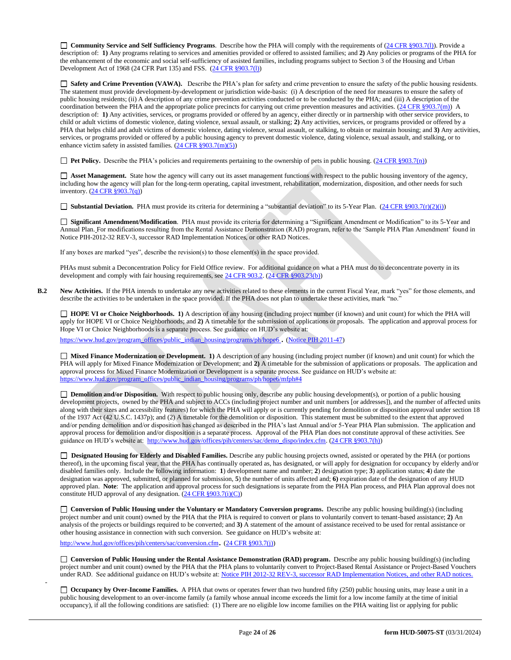**Community Service and Self Sufficiency Programs**. Describe how the PHA will comply with the requirements of [\(24 CFR §903.7\(l\)\)](http://ecfr.gpoaccess.gov/cgi/t/text/text-idx?c=ecfr&sid=13734845220744370804c20da2294a03&rgn=div5&view=text&node=24:4.0.3.1.3&idno=24#24:4.0.3.1.3.2.5.5). Provide a description of: **1)** Any programs relating to services and amenities provided or offered to assisted families; and **2)** Any policies or programs of the PHA for the enhancement of the economic and social self-sufficiency of assisted families, including programs subject to Section 3 of the Housing and Urban Development Act of 1968 (24 CFR Part 135) and FSS. [\(24 CFR §903.7\(l\)\)](http://ecfr.gpoaccess.gov/cgi/t/text/text-idx?c=ecfr&sid=b44bf19bef93dd31287608d2c687e271&rgn=div5&view=text&node=24:4.0.3.1.3&idno=24#24:4.0.3.1.3.2.5.5)

 **Safety and Crime Prevention (VAWA).** Describe the PHA's plan for safety and crime prevention to ensure the safety of the public housing residents. The statement must provide development-by-development or jurisdiction wide-basis: (i) A description of the need for measures to ensure the safety of public housing residents; (ii) A description of any crime prevention activities conducted or to be conducted by the PHA; and (iii) A description of the coordination between the PHA and the appropriate police precincts for carrying out crime prevention measures and activities. [\(24 CFR §903.7\(m\)\)](http://ecfr.gpoaccess.gov/cgi/t/text/text-idx?c=ecfr&sid=13734845220744370804c20da2294a03&rgn=div5&view=text&node=24:4.0.3.1.3&idno=24#24:4.0.3.1.3.2.5.5) A description of: **1)** Any activities, services, or programs provided or offered by an agency, either directly or in partnership with other service providers, to child or adult victims of domestic violence, dating violence, sexual assault, or stalking; **2)** Any activities, services, or programs provided or offered by a PHA that helps child and adult victims of domestic violence, dating violence, sexual assault, or stalking, to obtain or maintain housing; and **3)** Any activities, services, or programs provided or offered by a public housing agency to prevent domestic violence, dating violence, sexual assault, and stalking, or to enhance victim safety in assisted families. [\(24 CFR §903.7\(m\)\(5\)\)](http://ecfr.gpoaccess.gov/cgi/t/text/text-idx?c=ecfr&sid=b44bf19bef93dd31287608d2c687e271&rgn=div5&view=text&node=24:4.0.3.1.3&idno=24#24:4.0.3.1.3.2.5.5)

**Pet Policy.** Describe the PHA's policies and requirements pertaining to the ownership of pets in public housing. [\(24 CFR §903.7\(n\)\)](http://ecfr.gpoaccess.gov/cgi/t/text/text-idx?c=ecfr&sid=13734845220744370804c20da2294a03&rgn=div5&view=text&node=24:4.0.3.1.3&idno=24#24:4.0.3.1.3.2.5.5)

 **Asset Management.** State how the agency will carry out its asset management functions with respect to the public housing inventory of the agency, including how the agency will plan for the long-term operating, capital investment, rehabilitation, modernization, disposition, and other needs for such inventory. [\(24 CFR §903.7\(q\)\)](http://ecfr.gpoaccess.gov/cgi/t/text/text-idx?c=ecfr&sid=13734845220744370804c20da2294a03&rgn=div5&view=text&node=24:4.0.3.1.3&idno=24#24:4.0.3.1.3.2.5.5)

■ **Substantial Deviation.** PHA must provide its criteria for determining a "substantial deviation" to its 5-Year Plan. [\(24 CFR §903.7\(r\)\(2\)\(i\)\)](http://ecfr.gpoaccess.gov/cgi/t/text/text-idx?c=ecfr&sid=13734845220744370804c20da2294a03&rgn=div5&view=text&node=24:4.0.3.1.3&idno=24#24:4.0.3.1.3.2.5.5)

 **Significant Amendment/Modification**. PHA must provide its criteria for determining a "Significant Amendment or Modification" to its 5-Year and Annual Plan. For modifications resulting from the Rental Assistance Demonstration (RAD) program, refer to the 'Sample PHA Plan Amendment' found in Notice PIH-2012-32 REV-3, successor RAD Implementation Notices, or other RAD Notices.

If any boxes are marked "yes", describe the revision(s) to those element(s) in the space provided.

PHAs must submit a Deconcentration Policy for Field Office review. For additional guidance on what a PHA must do to deconcentrate poverty in its development and comply with fair housing requirements, se[e 24 CFR 903.2.](http://ecfr.gpoaccess.gov/cgi/t/text/text-idx?c=ecfr&sid=31b6a8e6f1110b36cc115eb6e4d5e3b4&rgn=div5&view=text&node=24:4.0.3.1.3&idno=24#24:4.0.3.1.3.1.5.2) [\(24 CFR §903.23\(b\)\)](http://ecfr.gpoaccess.gov/cgi/t/text/text-idx?c=ecfr&sid=13734845220744370804c20da2294a03&rgn=div5&view=text&node=24:4.0.3.1.3&idno=24#24:4.0.3.1.3.2.5.9)

**B.2** New Activities. If the PHA intends to undertake any new activities related to these elements in the current Fiscal Year, mark "yes" for those elements, and describe the activities to be undertaken in the space provided. If the PHA does not plan to undertake these activities, mark "no."

 **HOPE VI or Choice Neighborhoods. 1)** A description of any housing (including project number (if known) and unit count) for which the PHA will apply for HOPE VI or Choice Neighborhoods; and **2)** A timetable for the submission of applications or proposals. The application and approval process for Hope VI or Choice Neighborhoods is a separate process. See guidance on HUD's website at:

[https://www.hud.gov/program\\_offices/public\\_indian\\_housing/programs/ph/hope6](https://www.hud.gov/program_offices/public_indian_housing/programs/ph/hope6) . [\(Notice PIH 2011-47\)](http://www.hud.gov/offices/adm/hudclips/notices/pih/07pihnotices.cfm)

 **Mixed Finance Modernization or Development. 1)** A description of any housing (including project number (if known) and unit count) for which the PHA will apply for Mixed Finance Modernization or Development; and **2)** A timetable for the submission of applications or proposals. The application and approval process for Mixed Finance Modernization or Development is a separate process. See guidance on HUD's website at: [https://www.hud.gov/program\\_offices/public\\_indian\\_housing/programs/ph/hope6/mfph#4](https://www.hud.gov/program_offices/public_indian_housing/programs/ph/hope6/mfph#4)

□ **Demolition and/or Disposition.** With respect to public housing only, describe any public housing development(s), or portion of a public housing development projects, owned by the PHA and subject to ACCs (including project number and unit numbers [or addresses]), and the number of affected units along with their sizes and accessibility features) for which the PHA will apply or is currently pending for demolition or disposition approval under section 18 of the 1937 Act (42 U.S.C. 1437p); and (2) A timetable for the demolition or disposition. This statement must be submitted to the extent that approved and/or pending demolition and/or disposition has changed as described in the PHA's last Annual and/or 5-Year PHA Plan submission. The application and approval process for demolition and/or disposition is a separate process. Approval of the PHA Plan does not constitute approval of these activities. See guidance on HUD's website at: [http://www.hud.gov/offices/pih/centers/sac/demo\\_dispo/index.cfm.](http://www.hud.gov/offices/pih/centers/sac/demo_dispo/index.cfm) [\(24 CFR §903.7\(h\)\)](http://ecfr.gpoaccess.gov/cgi/t/text/text-idx?c=ecfr&sid=13734845220744370804c20da2294a03&rgn=div5&view=text&node=24:4.0.3.1.3&idno=24#24:4.0.3.1.3.2.5.5)

**Designated Housing for Elderly and Disabled Families.** Describe any public housing projects owned, assisted or operated by the PHA (or portions thereof), in the upcoming fiscal year, that the PHA has continually operated as, has designated, or will apply for designation for occupancy by elderly and/or disabled families only. Include the following information: **1**) development name and number; **2**) designation type; **3**) application status; **4**) date the designation was approved, submitted, or planned for submission, **5**) the number of units affected and; **6)** expiration date of the designation of any HUD approved plan. **Note**: The application and approval process for such designations is separate from the PHA Plan process, and PHA Plan approval does not constitute HUD approval of any designation.  $(24 \text{ CFR } \frac{§903.7(i)(C)}{)}$ 

**Conversion of Public Housing under the Voluntary or Mandatory Conversion programs.** Describe any public housing building(s) (including project number and unit count) owned by the PHA that the PHA is required to convert or plans to voluntarily convert to tenant-based assistance; **2)** An analysis of the projects or buildings required to be converted; and **3)** A statement of the amount of assistance received to be used for rental assistance or other housing assistance in connection with such conversion. See guidance on HUD's website at:

<http://www.hud.gov/offices/pih/centers/sac/conversion.cfm>. [\(24 CFR §903.7\(j\)\)](http://ecfr.gpoaccess.gov/cgi/t/text/text-idx?c=ecfr&sid=13734845220744370804c20da2294a03&rgn=div5&view=text&node=24:4.0.3.1.3&idno=24#24:4.0.3.1.3.2.5.5)

-

**Conversion of Public Housing under the Rental Assistance Demonstration (RAD) program.** Describe any public housing building(s) (including project number and unit count) owned by the PHA that the PHA plans to voluntarily convert to Project-Based Rental Assistance or Project-Based Vouchers under RAD. See additional guidance on HUD's website at: [Notice PIH 2012-32](http://portal.hud.gov/hudportal/HUD?src=/program_offices/administration/hudclips/notices/pih/12pihnotices) REV-3, successor RAD Implementation Notices, and other RAD notices.

**Occupancy by Over-Income Families.** A PHA that owns or operates fewer than two hundred fifty (250) public housing units, may lease a unit in a public housing development to an over-income family (a family whose annual income exceeds the limit for a low income family at the time of initial occupancy), if all the following conditions are satisfied: (1) There are no eligible low income families on the PHA waiting list or applying for public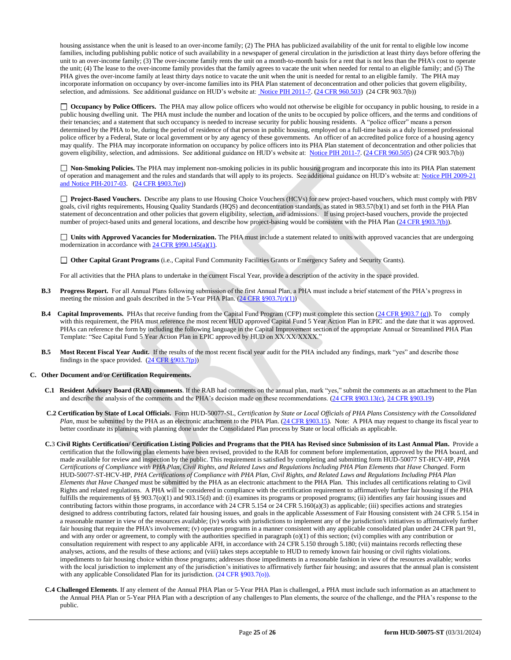housing assistance when the unit is leased to an over-income family; (2) The PHA has publicized availability of the unit for rental to eligible low income families, including publishing public notice of such availability in a newspaper of general circulation in the jurisdiction at least thirty days before offering the unit to an over-income family; (3) The over-income family rents the unit on a month-to-month basis for a rent that is not less than the PHA's cost to operate the unit; (4) The lease to the over-income family provides that the family agrees to vacate the unit when needed for rental to an eligible family; and (5) The PHA gives the over-income family at least thirty days notice to vacate the unit when the unit is needed for rental to an eligible family. The PHA may incorporate information on occupancy by over-income families into its PHA Plan statement of deconcentration and other policies that govern eligibility, selection, and admissions. See additional guidance on HUD's website at[: Notice PIH 2011-7.](http://portal.hud.gov/hudportal/HUD?src=/program_offices/administration/hudclips/notices/pih) [\(24 CFR 960.503\)](http://ecfr.gpoaccess.gov/cgi/t/text/text-idx?c=ecfr&sid=fa64c7c83a160f7c42da881396459a31&rgn=div5&view=text&node=24:4.0.3.1.13&idno=24#24:4.0.3.1.13.5.5.1) (24 CFR 903.7(b))

□ **Occupancy by Police Officers.** The PHA may allow police officers who would not otherwise be eligible for occupancy in public housing, to reside in a public housing dwelling unit. The PHA must include the number and location of the units to be occupied by police officers, and the terms and conditions of their tenancies; and a statement that such occupancy is needed to increase security for public housing residents. A "police officer" means a person determined by the PHA to be, during the period of residence of that person in public housing, employed on a full-time basis as a duly licensed professional police officer by a Federal, State or local government or by any agency of these governments. An officer of an accredited police force of a housing agency may qualify. The PHA may incorporate information on occupancy by police officers into its PHA Plan statement of deconcentration and other policies that govern eligibility, selection, and admissions. See additional guidance on HUD's website at: [Notice PIH 2011-7.](http://portal.hud.gov/hudportal/HUD?src=/program_offices/administration/hudclips/notices/pih) [\(24 CFR 960.505\)](http://ecfr.gpoaccess.gov/cgi/t/text/text-idx?c=ecfr&sid=fa64c7c83a160f7c42da881396459a31&rgn=div5&view=text&node=24:4.0.3.1.13&idno=24#24:4.0.3.1.13.5.5.2) (24 CFR 903.7(b))

 **Non-Smoking Policies.** The PHA may implement non-smoking policies in its public housing program and incorporate this into its PHA Plan statement of operation and management and the rules and standards that will apply to its projects. See additional guidance on HUD's website at[: Notice PIH 2009-21](http://portal.hud.gov/hudportal/HUD?src=/program_offices/administration/hudclips/notices/pih/09pihnotices) and Notice PIH-2017-03. [\(24 CFR §903.7\(e\)\)](http://ecfr.gpoaccess.gov/cgi/t/text/text-idx?c=ecfr&sid=b44bf19bef93dd31287608d2c687e271&rgn=div5&view=text&node=24:4.0.3.1.3&idno=24#24:4.0.3.1.3.2.5.5)

**Project-Based Vouchers.** Describe any plans to use Housing Choice Vouchers (HCVs) for new project-based vouchers, which must comply with PBV goals, civil rights requirements, Housing Quality Standards (HQS) and deconcentration standards, as stated in 983.57(b)(1) and set forth in the PHA Plan statement of deconcentration and other policies that govern eligibility, selection, and admissions. If using project-based vouchers, provide the projected number of project-based units and general locations, and describe how project-basing would be consistent with the PHA Plan [\(24 CFR §903.7\(b\)\)](http://ecfr.gpoaccess.gov/cgi/t/text/text-idx?c=ecfr&sid=b44bf19bef93dd31287608d2c687e271&rgn=div5&view=text&node=24:4.0.3.1.3&idno=24#24:4.0.3.1.3.2.5.5).

 **Units with Approved Vacancies for Modernization.** The PHA must include a statement related to units with approved vacancies that are undergoing modernization in accordance wit[h 24 CFR §990.145\(a\)\(1\).](http://www.ecfr.gov/cgi-bin/retrieveECFR?gp=1&SID=861f819542172e8e9912b8c1348ee120&ty=HTML&h=L&n=24y4.0.3.1.23&r=PART)

**Other Capital Grant Programs** (i.e., Capital Fund Community Facilities Grants or Emergency Safety and Security Grants).

For all activities that the PHA plans to undertake in the current Fiscal Year, provide a description of the activity in the space provided.

- **B.3 Progress Report.** For all Annual Plans following submission of the first Annual Plan, a PHA must include a brief statement of the PHA's progress in meeting the mission and goals described in the 5-Year PHA Plan.  $(24 \text{ CFR } \text{\textless} 903.7(\text{r})(1))$
- **B.4 Capital Improvements.** PHAs that receive funding from the Capital Fund Program (CFP) must complete this section [\(24 CFR §903.7 \(g\)\)](http://ecfr.gpoaccess.gov/cgi/t/text/text-idx?c=ecfr&sid=0885bb33f96a064e6519e07d66d87fd6&rgn=div5&view=text&node=24:4.0.3.1.3&idno=24#24:4.0.3.1.3.2.5.5). To comply with this requirement, the PHA must reference the most recent HUD approved Capital Fund 5 Year Action Plan in EPIC and the date that it was approved. PHAs can reference the form by including the following language in the Capital Improvement section of the appropriate Annual or Streamlined PHA Plan Template: "See Capital Fund 5 Year Action Plan in EPIC approved by HUD on XX/XX/XXXX."
- **B.5 Most Recent Fiscal Year Audit.** If the results of the most recent fiscal year audit for the PHA included any findings, mark "yes" and describe those findings in the space provided.  $(24 \text{ CFR } \text{\textless} 903.7(p))$

#### **C. Other Document and/or Certification Requirements.**

- **C.1 Resident Advisory Board (RAB) comments**. If the RAB had comments on the annual plan, mark "yes," submit the comments as an attachment to the Plan and describe the analysis of the comments and the PHA's decision made on these recommendations. [\(24 CFR §903.13\(c\),](http://ecfr.gpoaccess.gov/cgi/t/text/text-idx?c=ecfr&sid=13734845220744370804c20da2294a03&rgn=div5&view=text&node=24:4.0.3.1.3&idno=24#24:4.0.3.1.3.2.5.9) [24 CFR §903.19\)](http://ecfr.gpoaccess.gov/cgi/t/text/text-idx?c=ecfr&sid=f41eb312b1425d2a95a2478fde61e11f&rgn=div5&view=text&node=24:4.0.3.1.3&idno=24#24:4.0.3.1.3.2.5.12)
- **C.2 Certification by State of Local Officials.** Form HUD-50077-SL, *Certification by State or Local Officials of PHA Plans Consistency with the Consolidated Plan*, must be submitted by the PHA as an electronic attachment to the PHA Plan. [\(24 CFR §903.15\)](http://ecfr.gpoaccess.gov/cgi/t/text/text-idx?c=ecfr&sid=929855241bbc0873ac4be47579a4d2bf&rgn=div5&view=text&node=24:4.0.3.1.3&idno=24#24:4.0.3.1.3.2.5.10). Note: A PHA may request to change its fiscal year to better coordinate its planning with planning done under the Consolidated Plan process by State or local officials as applicable.
- **C.**3 **Civil Rights Certification/ Certification Listing Policies and Programs that the PHA has Revised since Submission of its Last Annual Plan.** Provide a certification that the following plan elements have been revised, provided to the RAB for comment before implementation, approved by the PHA board, and made available for review and inspection by the public. This requirement is satisfied by completing and submitting form HUD-50077 ST-HCV-HP, *PHA Certifications of Compliance with PHA Plan, Civil Rights, and Related Laws and Regulations Including PHA Plan Elements that Have Changed*. Form HUD-50077-ST-HCV-HP, *PHA Certifications of Compliance with PHA Plan, Civil Rights, and Related Laws and Regulations Including PHA Plan Elements that Have Changed* must be submitted by the PHA as an electronic attachment to the PHA Plan. This includes all certifications relating to Civil Rights and related regulations. A PHA will be considered in compliance with the certification requirement to affirmatively further fair housing if the PHA fulfills the requirements of §§ 903.7(o)(1) and 903.15(d) and: (i) examines its programs or proposed programs; (ii) identifies any fair housing issues and contributing factors within those programs, in accordance with 24 CFR 5.154 or 24 CFR 5.160(a)(3) as applicable; (iii) specifies actions and strategies designed to address contributing factors, related fair housing issues, and goals in the applicable Assessment of Fair Housing consistent with 24 CFR 5.154 in a reasonable manner in view of the resources available; (iv) works with jurisdictions to implement any of the jurisdiction's initiatives to affirmatively further fair housing that require the PHA's involvement; (v) operates programs in a manner consistent with any applicable consolidated plan under 24 CFR part 91, and with any order or agreement, to comply with the authorities specified in paragraph (o)(1) of this section; (vi) complies with any contribution or consultation requirement with respect to any applicable AFH, in accordance with 24 CFR 5.150 through 5.180; (vii) maintains records reflecting these analyses, actions, and the results of these actions; and (viii) takes steps acceptable to HUD to remedy known fair housing or civil rights violations. impediments to fair housing choice within those programs; addresses those impediments in a reasonable fashion in view of the resources available; works with the local jurisdiction to implement any of the jurisdiction's initiatives to affirmatively further fair housing; and assures that the annual plan is consistent with any applicable Consolidated Plan for its jurisdiction. (24 CFR §903.7(o)).
- **C.4 Challenged Elements**. If any element of the Annual PHA Plan or 5-Year PHA Plan is challenged, a PHA must include such information as an attachment to the Annual PHA Plan or 5-Year PHA Plan with a description of any challenges to Plan elements, the source of the challenge, and the PHA's response to the public.